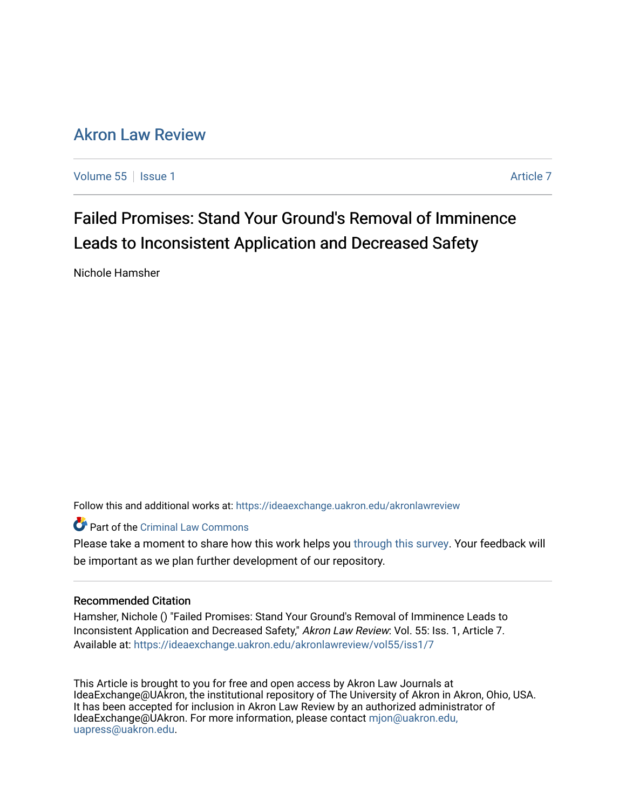# [Akron Law Review](https://ideaexchange.uakron.edu/akronlawreview)

[Volume 55](https://ideaexchange.uakron.edu/akronlawreview/vol55) | [Issue 1](https://ideaexchange.uakron.edu/akronlawreview/vol55/iss1) [Article 7](https://ideaexchange.uakron.edu/akronlawreview/vol55/iss1/7) Article 7 Article 7 Article 7 Article 7 Article 7 Article 7

Failed Promises: Stand Your Ground's Removal of Imminence Leads to Inconsistent Application and Decreased Safety

Nichole Hamsher

Follow this and additional works at: [https://ideaexchange.uakron.edu/akronlawreview](https://ideaexchange.uakron.edu/akronlawreview?utm_source=ideaexchange.uakron.edu%2Fakronlawreview%2Fvol55%2Fiss1%2F7&utm_medium=PDF&utm_campaign=PDFCoverPages)

Part of the [Criminal Law Commons](http://network.bepress.com/hgg/discipline/912?utm_source=ideaexchange.uakron.edu%2Fakronlawreview%2Fvol55%2Fiss1%2F7&utm_medium=PDF&utm_campaign=PDFCoverPages) 

Please take a moment to share how this work helps you [through this survey](http://survey.az1.qualtrics.com/SE/?SID=SV_eEVH54oiCbOw05f&URL=https://ideaexchange.uakron.edu/akronlawreview/vol55/iss1/7). Your feedback will be important as we plan further development of our repository.

# Recommended Citation

Hamsher, Nichole () "Failed Promises: Stand Your Ground's Removal of Imminence Leads to Inconsistent Application and Decreased Safety," Akron Law Review: Vol. 55: Iss. 1, Article 7. Available at: [https://ideaexchange.uakron.edu/akronlawreview/vol55/iss1/7](https://ideaexchange.uakron.edu/akronlawreview/vol55/iss1/7?utm_source=ideaexchange.uakron.edu%2Fakronlawreview%2Fvol55%2Fiss1%2F7&utm_medium=PDF&utm_campaign=PDFCoverPages) 

This Article is brought to you for free and open access by Akron Law Journals at IdeaExchange@UAkron, the institutional repository of The University of Akron in Akron, Ohio, USA. It has been accepted for inclusion in Akron Law Review by an authorized administrator of IdeaExchange@UAkron. For more information, please contact [mjon@uakron.edu,](mailto:mjon@uakron.edu,%20uapress@uakron.edu) [uapress@uakron.edu.](mailto:mjon@uakron.edu,%20uapress@uakron.edu)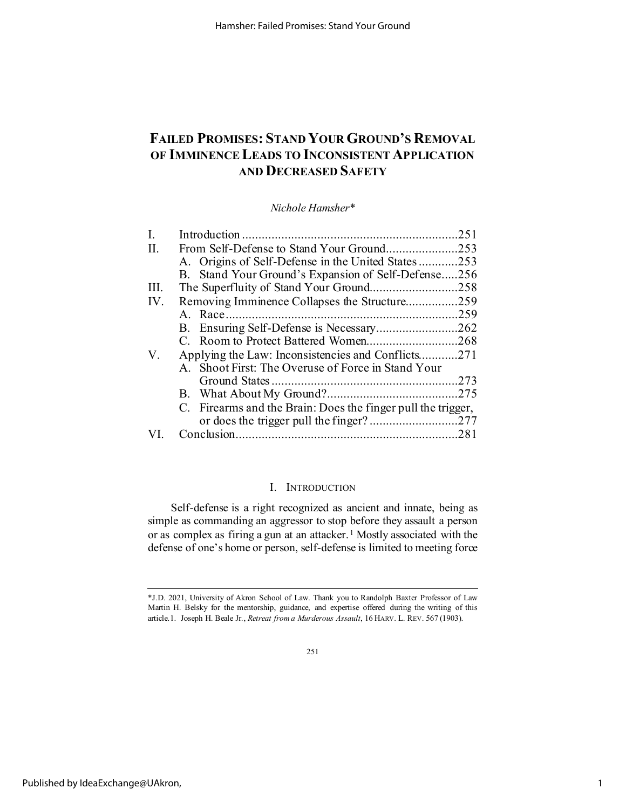# **FAILED PROMISES: STAND YOUR GROUND'S REMOVAL OF IMMINENCE LEADS TO INCONSISTENT APPLICATION AND DECREASED SAFETY**

*Nichole Hamsher\**

| I.   |                                                              | .251 |
|------|--------------------------------------------------------------|------|
| H.   | From Self-Defense to Stand Your Ground253                    |      |
|      | A. Origins of Self-Defense in the United States253           |      |
|      | B. Stand Your Ground's Expansion of Self-Defense256          |      |
| III. | The Superfluity of Stand Your Ground258                      |      |
| IV.  | Removing Imminence Collapses the Structure259                |      |
|      |                                                              | .259 |
|      |                                                              | .262 |
|      | C. Room to Protect Battered Women268                         |      |
| V.   | Applying the Law: Inconsistencies and Conflicts271           |      |
|      | A. Shoot First: The Overuse of Force in Stand Your           |      |
|      |                                                              |      |
|      |                                                              | .275 |
|      | C. Firearms and the Brain: Does the finger pull the trigger, |      |
|      |                                                              |      |
|      |                                                              |      |

# I. INTRODUCTION

Self-defense is a right recognized as ancient and innate, being as simple as commanding an aggressor to stop before they assault a person or as complex as firing a gun at an attacker.<sup>[1](#page-1-0)</sup> Mostly associated with the defense of one's home or person, self-defense is limited to meeting force

<span id="page-1-0"></span><sup>\*</sup>J.D. 2021, University of Akron School of Law. Thank you to Randolph Baxter Professor of Law Martin H. Belsky for the mentorship, guidance, and expertise offered during the writing of this article.1. Joseph H. Beale Jr., *Retreat from a Murderous Assault*, 16 HARV. L. REV. 567 (1903).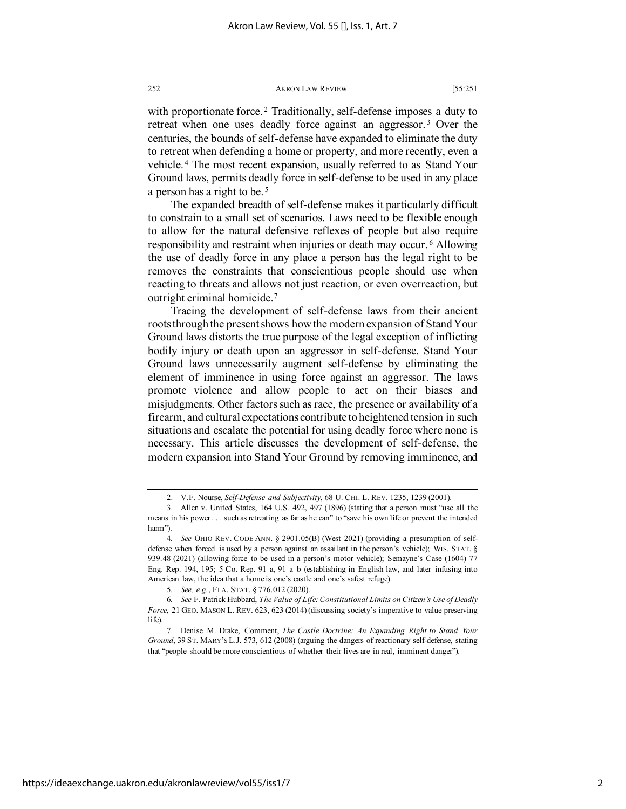with proportionate force.<sup>[2](#page-2-0)</sup> Traditionally, self-defense imposes a duty to retreat when one uses deadly force against an aggressor.<sup>[3](#page-2-1)</sup> Over the centuries, the bounds of self-defense have expanded to eliminate the duty to retreat when defending a home or property, and more recently, even a vehicle. [4](#page-2-2) The most recent expansion, usually referred to as Stand Your Ground laws, permits deadly force in self-defense to be used in any place a person has a right to be. [5](#page-2-3)

<span id="page-2-6"></span>The expanded breadth of self-defense makes it particularly difficult to constrain to a small set of scenarios. Laws need to be flexible enough to allow for the natural defensive reflexes of people but also require responsibility and restraint when injuries or death may occur. [6](#page-2-4) Allowing the use of deadly force in any place a person has the legal right to be removes the constraints that conscientious people should use when reacting to threats and allows not just reaction, or even overreaction, but outright criminal homicide.[7](#page-2-5)

<span id="page-2-7"></span>Tracing the development of self-defense laws from their ancient roots through the present shows how the modern expansion of Stand Your Ground laws distorts the true purpose of the legal exception of inflicting bodily injury or death upon an aggressor in self-defense. Stand Your Ground laws unnecessarily augment self-defense by eliminating the element of imminence in using force against an aggressor. The laws promote violence and allow people to act on their biases and misjudgments. Other factors such as race, the presence or availability of a firearm, and cultural expectations contribute to heightened tension in such situations and escalate the potential for using deadly force where none is necessary. This article discusses the development of self-defense, the modern expansion into Stand Your Ground by removing imminence, and

<sup>2.</sup> V.F. Nourse, *Self-Defense and Subjectivity*, 68 U. CHI. L. REV. 1235, 1239 (2001).

<span id="page-2-1"></span><span id="page-2-0"></span><sup>3.</sup> Allen v. United States, 164 U.S. 492, 497 (1896) (stating that a person must "use all the means in his power . . . such as retreating as far as he can" to "save his own life or prevent the intended harm").

<span id="page-2-2"></span><sup>4</sup>*. See* OHIO REV. CODE ANN. § 2901.05(B) (West 2021) (providing a presumption of selfdefense when forced is used by a person against an assailant in the person's vehicle); WIS. STAT. § 939.48 (2021) (allowing force to be used in a person's motor vehicle); Semayne's Case (1604) 77 Eng. Rep. 194, 195; 5 Co. Rep. 91 a, 91 a–b (establishing in English law, and later infusing into American law, the idea that a home is one's castle and one's safest refuge).

<sup>5</sup>*. See, e.g.*, FLA. STAT. § 776.012 (2020).

<span id="page-2-4"></span><span id="page-2-3"></span><sup>6</sup>*. See* F. Patrick Hubbard, *The Value of Life: Constitutional Limits on Citizen's Use of Deadly Force*, 21 GEO. MASON L. REV. 623, 623 (2014) (discussing society's imperative to value preserving life).

<span id="page-2-5"></span><sup>7.</sup> Denise M. Drake, Comment, *The Castle Doctrine: An Expanding Right to Stand Your Ground*, 39 ST. MARY'S L.J. 573, 612 (2008) (arguing the dangers of reactionary self-defense, stating that "people should be more conscientious of whether their lives are in real, imminent danger").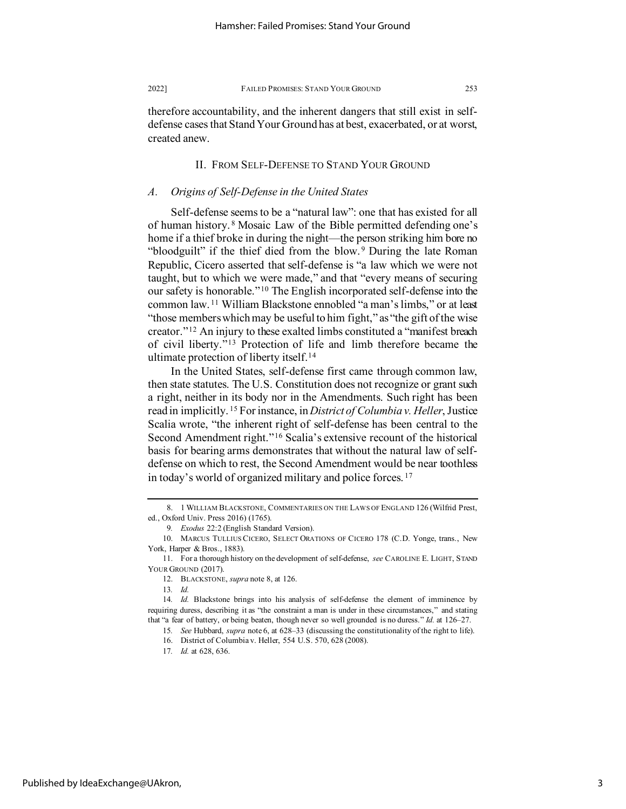therefore accountability, and the inherent dangers that still exist in selfdefense cases that StandYour Ground has at best, exacerbated, or at worst, created anew.

# <span id="page-3-0"></span>II. FROM SELF-DEFENSE TO STAND YOUR GROUND

# *A. Origins of Self-Defense in the United States*

Self-defense seems to be a "natural law": one that has existed for all of human history. [8](#page-3-1) Mosaic Law of the Bible permitted defending one's home if a thief broke in during the night—the person striking him bore no "bloodguilt" if the thief died from the blow. [9](#page-3-2) During the late Roman Republic, Cicero asserted that self-defense is "a law which we were not taught, but to which we were made," and that "every means of securing our safety is honorable."[10](#page-3-3) The English incorporated self-defense into the common law. [11](#page-3-4) William Blackstone ennobled "a man's limbs," or at least "those members which may be useful to him fight," as "the gift of the wise creator."[12](#page-3-5) An injury to these exalted limbs constituted a "manifest breach of civil liberty."[13](#page-3-6) Protection of life and limb therefore became the ultimate protection of liberty itself.<sup>[14](#page-3-7)</sup>

In the United States, self-defense first came through common law, then state statutes. The U.S. Constitution does not recognize or grant such a right, neither in its body nor in the Amendments. Such right has been read in implicitly. [15](#page-3-8) For instance, in *District of Columbia v. Heller*, Justice Scalia wrote, "the inherent right of self-defense has been central to the Second Amendment right."[16](#page-3-9) Scalia's extensive recount of the historical basis for bearing arms demonstrates that without the natural law of selfdefense on which to rest, the Second Amendment would be near toothless in today's world of organized military and police forces. [17](#page-3-10)

<span id="page-3-1"></span><sup>8. 1</sup> WILLIAM BLACKSTONE, COMMENTARIES ON THE LAWS OF ENGLAND 126 (Wilfrid Prest, ed., Oxford Univ. Press 2016) (1765).

<sup>9</sup>*. Exodus* 22:2 (English Standard Version).

<span id="page-3-2"></span><sup>10.</sup> MARCUS TULLIUS CICERO, SELECT ORATIONS OF CICERO 178 (C.D. Yonge, trans., New York, Harper & Bros., 1883).

<span id="page-3-4"></span><span id="page-3-3"></span><sup>11.</sup> For a thorough history on the development of self-defense, *see* CAROLINE E. LIGHT, STAND YOUR GROUND (2017).

<sup>12.</sup> BLACKSTONE, *supra* note [8,](#page-3-0) at 126.

<sup>13</sup>*. Id.*

<span id="page-3-10"></span><span id="page-3-9"></span><span id="page-3-8"></span><span id="page-3-7"></span><span id="page-3-6"></span><span id="page-3-5"></span><sup>14</sup>*. Id.* Blackstone brings into his analysis of self-defense the element of imminence by requiring duress, describing it as "the constraint a man is under in these circumstances," and stating that "a fear of battery, or being beaten, though never so well grounded is no duress." *Id.* at 126–27.

<sup>15</sup>*. See* Hubbard, *supra* not[e 6,](#page-2-6) at 628–33 (discussing the constitutionality of the right to life).

<sup>16.</sup> District of Columbia v. Heller, 554 U.S. 570, 628 (2008).

<sup>17</sup>*. Id.* at 628, 636.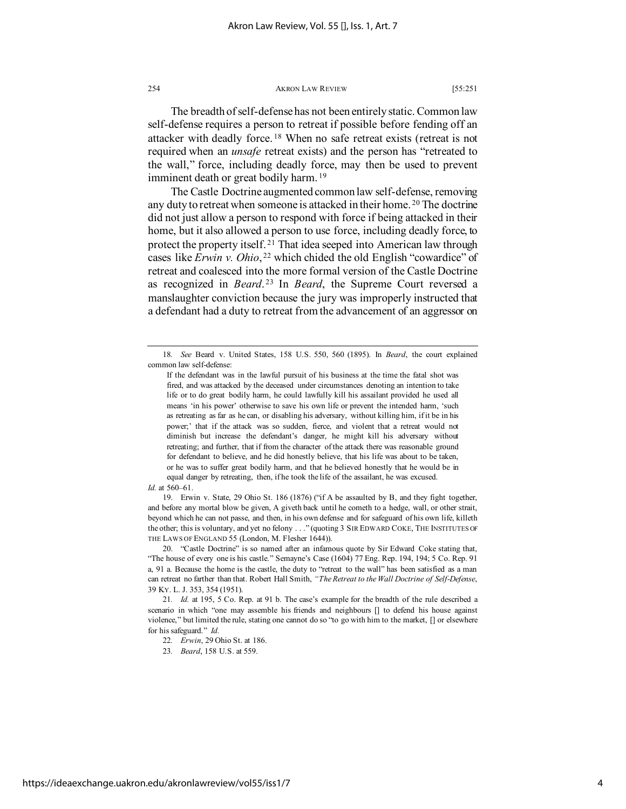The breadth of self-defense has not been entirely static. Common law self-defense requires a person to retreat if possible before fending off an attacker with deadly force. [18](#page-4-0) When no safe retreat exists (retreat is not required when an *unsafe* retreat exists) and the person has "retreated to the wall," force, including deadly force, may then be used to prevent imminent death or great bodily harm.<sup>[19](#page-4-1)</sup>

The Castle Doctrine augmented common law self-defense, removing any duty to retreat when someone is attacked in their home. [20](#page-4-2) The doctrine did not just allow a person to respond with force if being attacked in their home, but it also allowed a person to use force, including deadly force, to protect the property itself. [21](#page-4-3) That idea seeped into American law through cases like *Erwin v. Ohio*, [22](#page-4-4) which chided the old English "cowardice" of retreat and coalesced into the more formal version of the Castle Doctrine as recognized in *Beard*.<sup>[23](#page-4-5)</sup> In *Beard*, the Supreme Court reversed a manslaughter conviction because the jury was improperly instructed that a defendant had a duty to retreat from the advancement of an aggressor on

<span id="page-4-1"></span>19. Erwin v. State, 29 Ohio St. 186 (1876) ("if A be assaulted by B, and they fight together, and before any mortal blow be given, A giveth back until he cometh to a hedge, wall, or other strait, beyond which he can not passe, and then, in his own defense and for safeguard of his own life, killeth the other; this is voluntary, and yet no felony . . ." (quoting 3 SIR EDWARD COKE, THE INSTITUTES OF THE LAWS OF ENGLAND 55 (London, M. Flesher 1644)).

<span id="page-4-0"></span><sup>18</sup>*. See* Beard v. United States, 158 U.S. 550, 560 (1895). In *Beard*, the court explained common law self-defense:

If the defendant was in the lawful pursuit of his business at the time the fatal shot was fired, and was attacked by the deceased under circumstances denoting an intention to take life or to do great bodily harm, he could lawfully kill his assailant provided he used all means 'in his power' otherwise to save his own life or prevent the intended harm, 'such as retreating as far as he can, or disabling his adversary, without killing him, if it be in his power;' that if the attack was so sudden, fierce, and violent that a retreat would not diminish but increase the defendant's danger, he might kill his adversary without retreating; and further, that if from the character of the attack there was reasonable ground for defendant to believe, and he did honestly believe, that his life was about to be taken, or he was to suffer great bodily harm, and that he believed honestly that he would be in equal danger by retreating, then, if he took the life of the assailant, he was excused.

*Id.* at 560–61.

<span id="page-4-2"></span><sup>20. &</sup>quot;Castle Doctrine" is so named after an infamous quote by Sir Edward Coke stating that, "The house of every one is his castle." Semayne's Case (1604) 77 Eng. Rep. 194, 194; 5 Co. Rep. 91 a, 91 a. Because the home is the castle, the duty to "retreat to the wall" has been satisfied as a man can retreat no farther than that. Robert Hall Smith, *"The Retreat to the Wall Doctrine of Self-Defense*, 39 KY. L. J. 353, 354 (1951).

<span id="page-4-5"></span><span id="page-4-4"></span><span id="page-4-3"></span><sup>21</sup>*. Id.* at 195, 5 Co. Rep. at 91 b. The case's example for the breadth of the rule described a scenario in which "one may assemble his friends and neighbours [] to defend his house against violence," but limited the rule, stating one cannot do so "to go with him to the market, [] or elsewhere for his safeguard." *Id.*

<sup>22</sup>*. Erwin*, 29 Ohio St. at 186.

<sup>23</sup>*. Beard*, 158 U.S. at 559.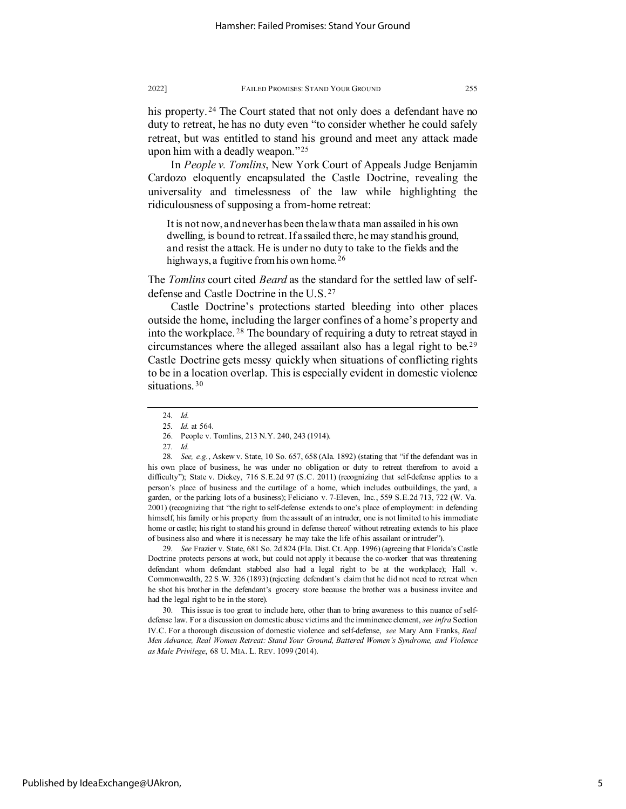his property.<sup>[24](#page-5-0)</sup> The Court stated that not only does a defendant have no duty to retreat, he has no duty even "to consider whether he could safely retreat, but was entitled to stand his ground and meet any attack made upon him with a deadly weapon."[25](#page-5-1)

In *People v. Tomlins*, New York Court of Appeals Judge Benjamin Cardozo eloquently encapsulated the Castle Doctrine, revealing the universality and timelessness of the law while highlighting the ridiculousness of supposing a from-home retreat:

It is not now, and never has been the law that a man assailed in his own dwelling, is bound to retreat. If assailed there, he may stand his ground, and resist the attack. He is under no duty to take to the fields and the highways, a fugitive from his own home.<sup>[26](#page-5-2)</sup>

The *Tomlins* court cited *Beard* as the standard for the settled law of selfdefense and Castle Doctrine in the U.S. [27](#page-5-3)

Castle Doctrine's protections started bleeding into other places outside the home, including the larger confines of a home's property and into the workplace. [28](#page-5-4) The boundary of requiring a duty to retreat stayed in circumstances where the alleged assailant also has a legal right to be.[29](#page-5-5) Castle Doctrine gets messy quickly when situations of conflicting rights to be in a location overlap. This is especially evident in domestic violence situations.<sup>[30](#page-5-6)</sup>

<span id="page-5-5"></span>29*. See* Frazier v. State, 681 So. 2d 824 (Fla. Dist. Ct. App. 1996) (agreeing that Florida's Castle Doctrine protects persons at work, but could not apply it because the co-worker that was threatening defendant whom defendant stabbed also had a legal right to be at the workplace); Hall v. Commonwealth, 22 S.W. 326 (1893) (rejecting defendant's claim that he did not need to retreat when he shot his brother in the defendant's grocery store because the brother was a business invitee and had the legal right to be in the store).

<span id="page-5-6"></span>30. This issue is too great to include here, other than to bring awareness to this nuance of selfdefense law. For a discussion on domestic abuse victims and the imminence element, *see infra* Section IV[.C.](#page-18-0) For a thorough discussion of domestic violence and self-defense, *see* Mary Ann Franks, *Real Men Advance, Real Women Retreat: Stand Your Ground, Battered Women's Syndrome, and Violence as Male Privilege*, 68 U. MIA. L. REV. 1099 (2014).

<span id="page-5-7"></span><sup>24</sup>*. Id.*

<sup>25</sup>*. Id.* at 564.

<sup>26.</sup> People v. Tomlins, 213 N.Y. 240, 243 (1914).

<sup>27</sup>*. Id.*

<span id="page-5-4"></span><span id="page-5-3"></span><span id="page-5-2"></span><span id="page-5-1"></span><span id="page-5-0"></span><sup>28</sup>*. See, e.g.*, Askew v. State, 10 So. 657, 658 (Ala. 1892) (stating that "if the defendant was in his own place of business, he was under no obligation or duty to retreat therefrom to avoid a difficulty"); State v. Dickey, 716 S.E.2d 97 (S.C. 2011) (recognizing that self-defense applies to a person's place of business and the curtilage of a home, which includes outbuildings, the yard, a garden, or the parking lots of a business); Feliciano v. 7-Eleven, Inc., 559 S.E.2d 713, 722 (W. Va. 2001) (recognizing that "the right to self-defense extends to one's place of employment: in defending himself, his family or his property from the assault of an intruder, one is not limited to his immediate home or castle; his right to stand his ground in defense thereof without retreating extends to his place of business also and where it is necessary he may take the life of his assailant or intruder").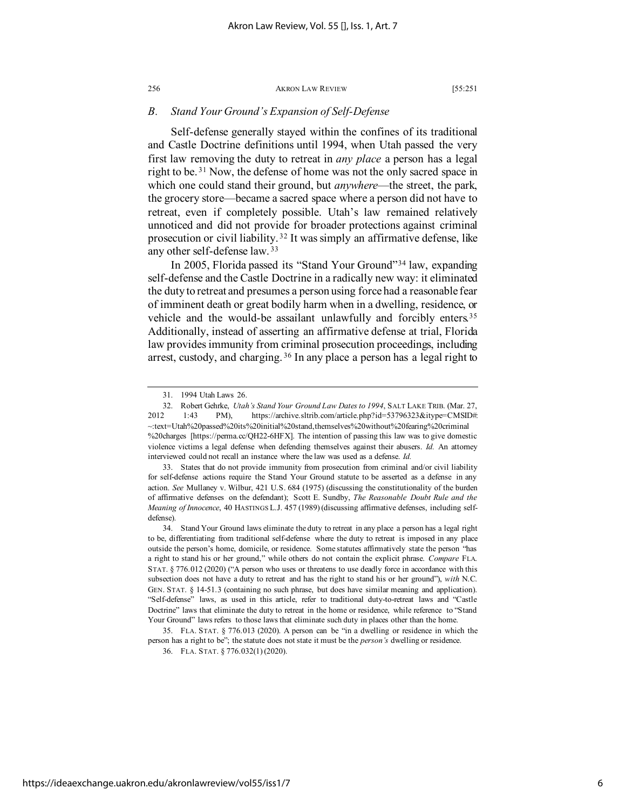# *B. Stand Your Ground's Expansion of Self-Defense*

Self-defense generally stayed within the confines of its traditional and Castle Doctrine definitions until 1994, when Utah passed the very first law removing the duty to retreat in *any place* a person has a legal right to be. [31](#page-6-0) Now, the defense of home was not the only sacred space in which one could stand their ground, but *anywhere*—the street, the park, the grocery store—became a sacred space where a person did not have to retreat, even if completely possible. Utah's law remained relatively unnoticed and did not provide for broader protections against criminal prosecution or civil liability. [32](#page-6-1) It was simply an affirmative defense, like any other self-defense law. [33](#page-6-2)

In 2005, Florida passed its "Stand Your Ground"[34](#page-6-3) law, expanding self-defense and the Castle Doctrine in a radically new way: it eliminated the duty to retreat and presumes a person using force had a reasonable fear of imminent death or great bodily harm when in a dwelling, residence, or vehicle and the would-be assailant unlawfully and forcibly enters.<sup>[35](#page-6-4)</sup> Additionally, instead of asserting an affirmative defense at trial, Florida law provides immunity from criminal prosecution proceedings, including arrest, custody, and charging.<sup>[36](#page-6-5)</sup> In any place a person has a legal right to

<span id="page-6-2"></span>33. States that do not provide immunity from prosecution from criminal and/or civil liability for self-defense actions require the Stand Your Ground statute to be asserted as a defense in any action. *See* Mullaney v. Wilbur, 421 U.S. 684 (1975) (discussing the constitutionality of the burden of affirmative defenses on the defendant); Scott E. Sundby, *The Reasonable Doubt Rule and the Meaning of Innocence*, 40 HASTINGS L.J. 457 (1989) (discussing affirmative defenses, including selfdefense).

36. FLA. STAT. § 776.032(1) (2020).

<sup>31.</sup> 1994 Utah Laws 26.

<span id="page-6-1"></span><span id="page-6-0"></span><sup>32.</sup> Robert Gehrke, *Utah's Stand Your Ground Law Dates to 1994*, SALT LAKE TRIB. (Mar. 27, 2012 1:43 PM), https://archive.sltrib.com/article.php?id=53796323&itype=CMSID#: ~:text=Utah%20passed%20its%20initial%20stand,themselves%20without%20fearing%20criminal %20charges [https://perma.cc/QH22-6HFX]. The intention of passing this law was to give domestic violence victims a legal defense when defending themselves against their abusers. *Id.* An attorney interviewed could not recall an instance where the law was used as a defense. *Id.*

<span id="page-6-3"></span><sup>34.</sup> Stand Your Ground laws eliminate the duty to retreat in any place a person has a legal right to be, differentiating from traditional self-defense where the duty to retreat is imposed in any place outside the person's home, domicile, or residence. Some statutes affirmatively state the person "has a right to stand his or her ground," while others do not contain the explicit phrase. *Compare* FLA. STAT. § 776.012 (2020) ("A person who uses or threatens to use deadly force in accordance with this subsection does not have a duty to retreat and has the right to stand his or her ground"), *with* N.C. GEN. STAT. § 14-51.3 (containing no such phrase, but does have similar meaning and application). "Self-defense" laws, as used in this article, refer to traditional duty-to-retreat laws and "Castle Doctrine" laws that eliminate the duty to retreat in the home or residence, while reference to "Stand Your Ground" laws refers to those laws that eliminate such duty in places other than the home.

<span id="page-6-5"></span><span id="page-6-4"></span><sup>35.</sup> FLA. STAT. § 776.013 (2020). A person can be "in a dwelling or residence in which the person has a right to be"; the statute does not state it must be the *person's* dwelling or residence.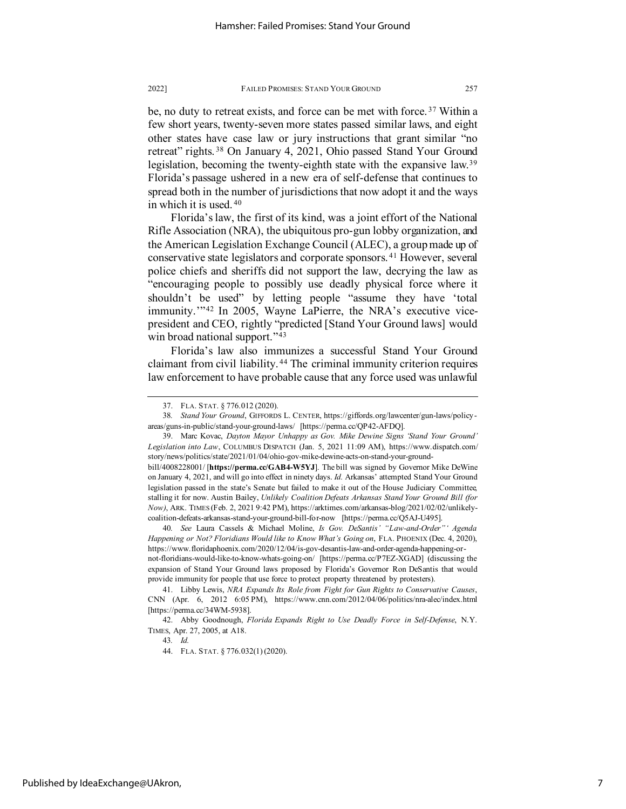be, no duty to retreat exists, and force can be met with force.<sup>[37](#page-7-0)</sup> Within a few short years, twenty-seven more states passed similar laws, and eight other states have case law or jury instructions that grant similar "no retreat" rights.<sup>[38](#page-7-1)</sup> On January 4, 2021, Ohio passed Stand Your Ground legislation, becoming the twenty-eighth state with the expansive law.[39](#page-7-2) Florida's passage ushered in a new era of self-defense that continues to spread both in the number of jurisdictions that now adopt it and the ways in which it is used. [40](#page-7-3)

Florida's law, the first of its kind, was a joint effort of the National Rifle Association (NRA), the ubiquitous pro-gun lobby organization, and the American Legislation Exchange Council (ALEC), a group made up of conservative state legislators and corporate sponsors. [41](#page-7-4) However, several police chiefs and sheriffs did not support the law, decrying the law as "encouraging people to possibly use deadly physical force where it shouldn't be used" by letting people "assume they have 'total immunity.'"[42](#page-7-5) In 2005, Wayne LaPierre, the NRA's executive vicepresident and CEO, rightly "predicted [Stand Your Ground laws] would win broad national support."<sup>[43](#page-7-6)</sup>

Florida's law also immunizes a successful Stand Your Ground claimant from civil liability. [44](#page-7-7) The criminal immunity criterion requires law enforcement to have probable cause that any force used was unlawful

43*. Id.*

44. FLA. STAT. § 776.032(1) (2020).

<sup>37.</sup> FLA. STAT. § 776.012 (2020).

<span id="page-7-1"></span><span id="page-7-0"></span><sup>38</sup>*. Stand Your Ground*, GIFFORDS L. CENTER, https://giffords.org/lawcenter/gun-laws/policyareas/guns-in-public/stand-your-ground-laws/ [https://perma.cc/QP42-AFDQ].

<span id="page-7-2"></span><sup>39.</sup> Marc Kovac, *Dayton Mayor Unhappy as Gov. Mike Dewine Signs 'Stand Your Ground' Legislation into Law*, COLUMBUS DISPATCH (Jan. 5, 2021 11:09 AM), https://www.dispatch.com/ story/news/politics/state/2021/01/04/ohio-gov-mike-dewine-acts-on-stand-your-ground-

bill/4008228001/ [**https://perma.cc/GAB4-W5YJ**]. The bill was signed by Governor Mike DeWine on January 4, 2021, and will go into effect in ninety days. *Id.* Arkansas' attempted Stand Your Ground legislation passed in the state's Senate but failed to make it out of the House Judiciary Committee, stalling it for now. Austin Bailey, *Unlikely Coalition Defeats Arkansas Stand Your Ground Bill (for Now)*, ARK. TIMES (Feb. 2, 2021 9:42 PM), https://arktimes.com/arkansas-blog/2021/02/02/unlikelycoalition-defeats-arkansas-stand-your-ground-bill-for-now [https://perma.cc/Q5AJ-U495].

<span id="page-7-3"></span><sup>40</sup>*. See* Laura Cassels & Michael Moline, *Is Gov. DeSantis' "Law-and-Order"' Agenda Happening or Not? Floridians Would like to Know What's Going on*, FLA. PHOENIX (Dec. 4, 2020), https://www.floridaphoenix.com/2020/12/04/is-gov-desantis-law-and-order-agenda-happening-ornot-floridians-would-like-to-know-whats-going-on/ [https://perma.cc/P7EZ-XGAD] (discussing the expansion of Stand Your Ground laws proposed by Florida's Governor Ron DeSantis that would provide immunity for people that use force to protect property threatened by protesters).

<span id="page-7-4"></span><sup>41.</sup> Libby Lewis, *NRA Expands Its Role from Fight for Gun Rights to Conservative Causes*, CNN (Apr. 6, 2012 6:05 PM), https://www.cnn.com/2012/04/06/politics/nra-alec/index.html [https://perma.cc/34WM-5938].

<span id="page-7-7"></span><span id="page-7-6"></span><span id="page-7-5"></span><sup>42.</sup> Abby Goodnough, *Florida Expands Right to Use Deadly Force in Self-Defense*, N.Y. TIMES, Apr. 27, 2005, at A18.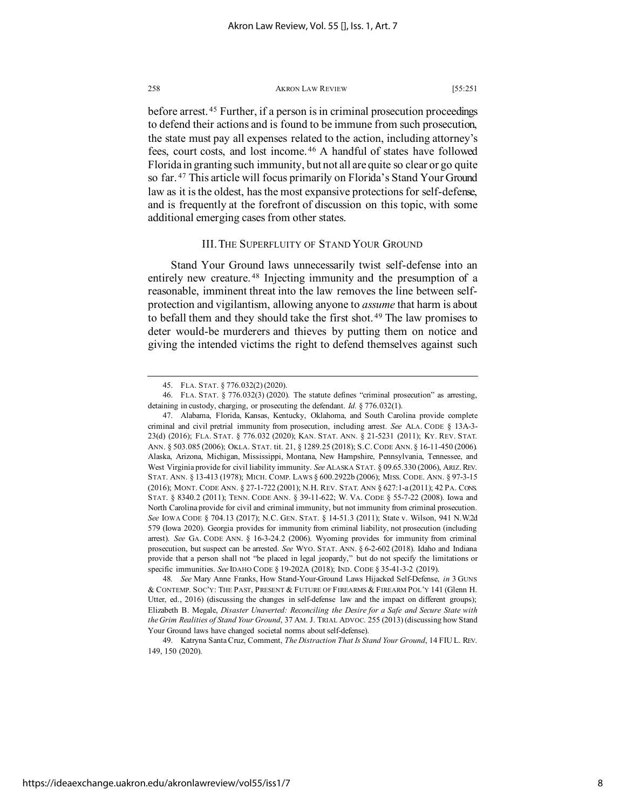before arrest. [45](#page-8-0) Further, if a person is in criminal prosecution proceedings to defend their actions and is found to be immune from such prosecution, the state must pay all expenses related to the action, including attorney's fees, court costs, and lost income. [46](#page-8-1) A handful of states have followed Florida in granting such immunity, but not all are quite so clear or go quite so far. [47](#page-8-2) This article will focus primarily on Florida's Stand Your Ground law as it is the oldest, has the most expansive protections for self-defense, and is frequently at the forefront of discussion on this topic, with some additional emerging cases from other states.

# <span id="page-8-6"></span><span id="page-8-5"></span>III. THE SUPERFLUITY OF STAND YOUR GROUND

Stand Your Ground laws unnecessarily twist self-defense into an entirely new creature. [48](#page-8-3) Injecting immunity and the presumption of a reasonable, imminent threat into the law removes the line between selfprotection and vigilantism, allowing anyone to *assume* that harm is about to befall them and they should take the first shot. [49](#page-8-4) The law promises to deter would-be murderers and thieves by putting them on notice and giving the intended victims the right to defend themselves against such

<sup>45.</sup> FLA. STAT. § 776.032(2) (2020).

<span id="page-8-1"></span><span id="page-8-0"></span><sup>46.</sup> FLA. STAT. § 776.032(3) (2020). The statute defines "criminal prosecution" as arresting, detaining in custody, charging, or prosecuting the defendant. *Id.* § 776.032(1).

<span id="page-8-2"></span><sup>47.</sup> Alabama, Florida, Kansas, Kentucky, Oklahoma, and South Carolina provide complete criminal and civil pretrial immunity from prosecution, including arrest. *See* ALA. CODE § 13A-3- 23(d) (2016); FLA. STAT. § 776.032 (2020); KAN. STAT. ANN. § 21-5231 (2011); KY. REV. STAT. ANN. § 503.085 (2006); OKLA. STAT. tit. 21, § 1289.25 (2018); S.C.CODE ANN. § 16-11-450 (2006). Alaska, Arizona, Michigan, Mississippi, Montana, New Hampshire, Pennsylvania, Tennessee, and West Virginia provide for civil liability immunity. *See* ALASKA STAT. § 09.65.330 (2006), ARIZ.REV. STAT. ANN. § 13-413 (1978); MICH. COMP. LAWS § 600.2922b (2006); MISS. CODE. ANN. § 97-3-15 (2016); MONT. CODE ANN. § 27-1-722 (2001); N.H. REV. STAT. ANN § 627:1-a (2011); 42 PA. CONS. STAT. § 8340.2 (2011); TENN. CODE ANN. § 39-11-622; W. VA. CODE § 55-7-22 (2008). Iowa and North Carolina provide for civil and criminal immunity, but not immunity from criminal prosecution. *See* IOWA CODE § 704.13 (2017); N.C. GEN. STAT. § 14-51.3 (2011); State v. Wilson, 941 N.W.2d 579 (Iowa 2020). Georgia provides for immunity from criminal liability, not prosecution (including arrest). *See* GA. CODE ANN. § 16-3-24.2 (2006). Wyoming provides for immunity from criminal prosecution, but suspect can be arrested. *See* WYO. STAT. ANN. § 6-2-602 (2018). Idaho and Indiana provide that a person shall not "be placed in legal jeopardy," but do not specify the limitations or specific immunities. *See* IDAHO CODE § 19-202A (2018); IND. CODE § 35-41-3-2 (2019).

<span id="page-8-3"></span><sup>48</sup>*. See* Mary Anne Franks, How Stand-Your-Ground Laws Hijacked Self-Defense, *in* 3 GUNS & CONTEMP. SOC'Y: THE PAST, PRESENT & FUTURE OF FIREARMS & FIREARM POL'Y 141 (Glenn H. Utter, ed., 2016) (discussing the changes in self-defense law and the impact on different groups); Elizabeth B. Megale, *Disaster Unaverted: Reconciling the Desire for a Safe and Secure State with the Grim Realities of Stand Your Ground*, 37 AM. J. TRIAL ADVOC. 255 (2013) (discussing how Stand Your Ground laws have changed societal norms about self-defense).

<span id="page-8-4"></span><sup>49.</sup> Katryna Santa Cruz, Comment, *The Distraction That Is Stand Your Ground*, 14 FIU L. REV. 149, 150 (2020).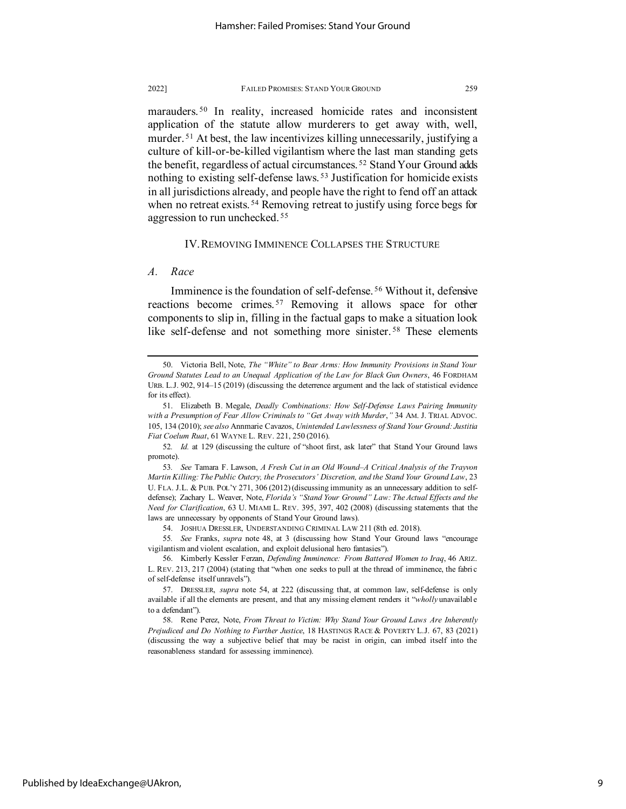<span id="page-9-13"></span><span id="page-9-11"></span>marauders.<sup>[50](#page-9-1)</sup> In reality, increased homicide rates and inconsistent application of the statute allow murderers to get away with, well, murder.<sup>[51](#page-9-2)</sup> At best, the law incentivizes killing unnecessarily, justifying a culture of kill-or-be-killed vigilantism where the last man standing gets the benefit, regardless of actual circumstances. [52](#page-9-3) Stand Your Ground adds nothing to existing self-defense laws. [53](#page-9-4) Justification for homicide exists in all jurisdictions already, and people have the right to fend off an attack when no retreat exists.<sup>[54](#page-9-5)</sup> Removing retreat to justify using force begs for aggression to run unchecked. [55](#page-9-6)

# <span id="page-9-12"></span><span id="page-9-10"></span><span id="page-9-0"></span>IV. REMOVING IMMINENCE COLLAPSES THE STRUCTURE

## *A. Race*

Imminence is the foundation of self-defense. [56](#page-9-7) Without it, defensive reactions become crimes.<sup>[57](#page-9-8)</sup> Removing it allows space for other components to slip in, filling in the factual gaps to make a situation look like self-defense and not something more sinister. [58](#page-9-9) These elements

<span id="page-9-1"></span><sup>50.</sup> Victoria Bell, Note, *The "White" to Bear Arms: How Immunity Provisions in Stand Your Ground Statutes Lead to an Unequal Application of the Law for Black Gun Owners*, 46 FORDHAM URB. L.J. 902, 914–15 (2019) (discussing the deterrence argument and the lack of statistical evidence for its effect).

<span id="page-9-2"></span><sup>51.</sup> Elizabeth B. Megale, *Deadly Combinations: How Self-Defense Laws Pairing Immunity with a Presumption of Fear Allow Criminals to "Get Away with Murder*,*"* 34 AM. J. TRIAL ADVOC. 105, 134 (2010); *see also* Annmarie Cavazos, *Unintended Lawlessness of Stand Your Ground: Justitia Fiat Coelum Ruat*, 61 WAYNE L. REV. 221, 250 (2016).

<span id="page-9-3"></span><sup>52</sup>*. Id.* at 129 (discussing the culture of "shoot first, ask later" that Stand Your Ground laws promote).

<span id="page-9-4"></span><sup>53</sup>*. See* Tamara F. Lawson, *A Fresh Cut in an Old Wound–A Critical Analysis of the Trayvon Martin Killing: The Public Outcry, the Prosecutors' Discretion, and the Stand Your Ground Law*, 23 U. FLA. J.L. & PUB. POL'Y 271, 306 (2012) (discussing immunity as an unnecessary addition to selfdefense); Zachary L. Weaver, Note, *Florida's "Stand Your Ground" Law: The Actual Effects and the Need for Clarification*, 63 U. MIAMI L. REV. 395, 397, 402 (2008) (discussing statements that the laws are unnecessary by opponents of Stand Your Ground laws).

<sup>54.</sup> JOSHUA DRESSLER, UNDERSTANDING CRIMINAL LAW 211 (8th ed. 2018).

<span id="page-9-6"></span><span id="page-9-5"></span><sup>55</sup>*. See* Franks, *supra* note [48,](#page-8-5) at 3 (discussing how Stand Your Ground laws "encourage vigilantism and violent escalation, and exploit delusional hero fantasies").

<span id="page-9-7"></span><sup>56.</sup> Kimberly Kessler Ferzan, *Defending Imminence: From Battered Women to Iraq*, 46 ARIZ. L. REV. 213, 217 (2004) (stating that "when one seeks to pull at the thread of imminence, the fabric of self-defense itself unravels").

<span id="page-9-8"></span><sup>57.</sup> DRESSLER, *supra* note [54,](#page-9-0) at 222 (discussing that, at common law, self-defense is only available if all the elements are present, and that any missing element renders it "*wholly* unavailable to a defendant").

<span id="page-9-9"></span><sup>58.</sup> Rene Perez, Note, *From Threat to Victim: Why Stand Your Ground Laws Are Inherently Prejudiced and Do Nothing to Further Justice*, 18 HASTINGS RACE & POVERTY L.J. 67, 83 (2021) (discussing the way a subjective belief that may be racist in origin, can imbed itself into the reasonableness standard for assessing imminence).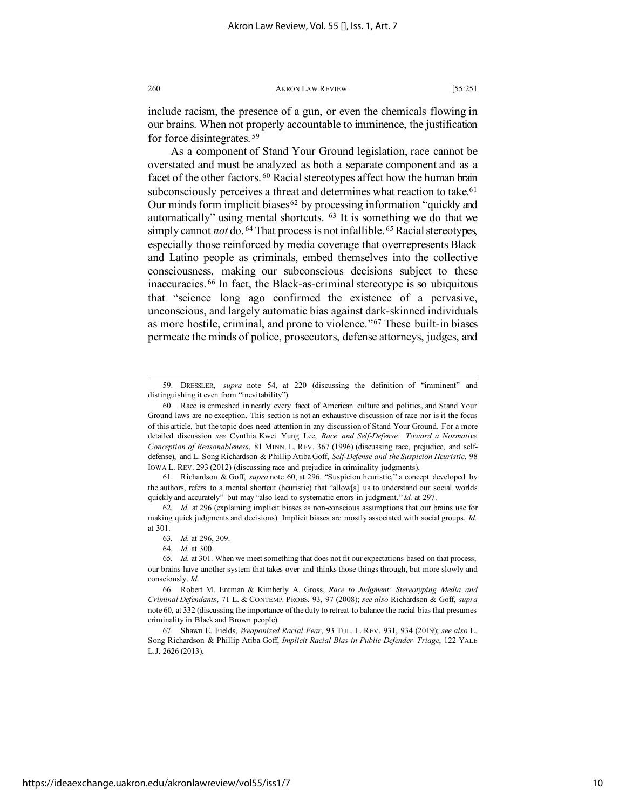include racism, the presence of a gun, or even the chemicals flowing in our brains. When not properly accountable to imminence, the justification for force disintegrates. [59](#page-10-1)

<span id="page-10-0"></span>As a component of Stand Your Ground legislation, race cannot be overstated and must be analyzed as both a separate component and as a facet of the other factors. <sup>[60](#page-10-2)</sup> Racial stereotypes affect how the human brain subconsciously perceives a threat and determines what reaction to take.<sup>[61](#page-10-3)</sup> Our minds form implicit biases<sup>[62](#page-10-4)</sup> by processing information "quickly and automatically" using mental shortcuts. [63](#page-10-5) It is something we do that we simply cannot *not* do. <sup>[64](#page-10-6)</sup> That process is not infallible. <sup>[65](#page-10-7)</sup> Racial stereotypes, especially those reinforced by media coverage that overrepresents Black and Latino people as criminals, embed themselves into the collective consciousness, making our subconscious decisions subject to these inaccuracies. [66](#page-10-8) In fact, the Black-as-criminal stereotype is so ubiquitous that "science long ago confirmed the existence of a pervasive, unconscious, and largely automatic bias against dark-skinned individuals as more hostile, criminal, and prone to violence."[67](#page-10-9) These built-in biases permeate the minds of police, prosecutors, defense attorneys, judges, and

<span id="page-10-10"></span><span id="page-10-1"></span><sup>59.</sup> DRESSLER, *supra* note [54,](#page-9-0) at 220 (discussing the definition of "imminent" and distinguishing it even from "inevitability").

<span id="page-10-2"></span><sup>60.</sup> Race is enmeshed in nearly every facet of American culture and politics, and Stand Your Ground laws are no exception. This section is not an exhaustive discussion of race nor is it the focus of this article, but the topic does need attention in any discussion of Stand Your Ground. For a more detailed discussion *see* Cynthia Kwei Yung Lee, *Race and Self-Defense: Toward a Normative Conception of Reasonableness*, 81 MINN. L. REV. 367 (1996) (discussing race, prejudice, and selfdefense), and L. Song Richardson & Phillip Atiba Goff, *Self-Defense and the Suspicion Heuristic*, 98 IOWA L. REV. 293 (2012) (discussing race and prejudice in criminality judgments).

<span id="page-10-3"></span><sup>61.</sup> Richardson & Goff, *supra* note [60,](#page-10-0) at 296. "Suspicion heuristic," a concept developed by the authors, refers to a mental shortcut (heuristic) that "allow[s] us to understand our social worlds quickly and accurately" but may "also lead to systematic errors in judgment." *Id.* at 297.

<span id="page-10-5"></span><span id="page-10-4"></span><sup>62</sup>*. Id.* at 296 (explaining implicit biases as non-conscious assumptions that our brains use for making quick judgments and decisions). Implicit biases are mostly associated with social groups. *Id.* at 301.

<sup>63</sup>*. Id.* at 296, 309.

<sup>64</sup>*. Id.* at 300.

<span id="page-10-7"></span><span id="page-10-6"></span><sup>65</sup>*. Id.* at 301. When we meet something that does not fit our expectations based on that process, our brains have another system that takes over and thinks those things through, but more slowly and consciously. *Id.*

<span id="page-10-8"></span><sup>66.</sup> Robert M. Entman & Kimberly A. Gross, *Race to Judgment: Stereotyping Media and Criminal Defendants*, 71 L. & CONTEMP. PROBS. 93, 97 (2008); *see also* Richardson & Goff, *supra* not[e 60,](#page-10-0) at 332 (discussing the importance of the duty to retreat to balance the racial bias that presumes criminality in Black and Brown people).

<span id="page-10-9"></span><sup>67.</sup> Shawn E. Fields, *Weaponized Racial Fear*, 93 TUL. L. REV. 931, 934 (2019); *see also* L. Song Richardson & Phillip Atiba Goff, *Implicit Racial Bias in Public Defender Triage*, 122 YALE L.J. 2626 (2013).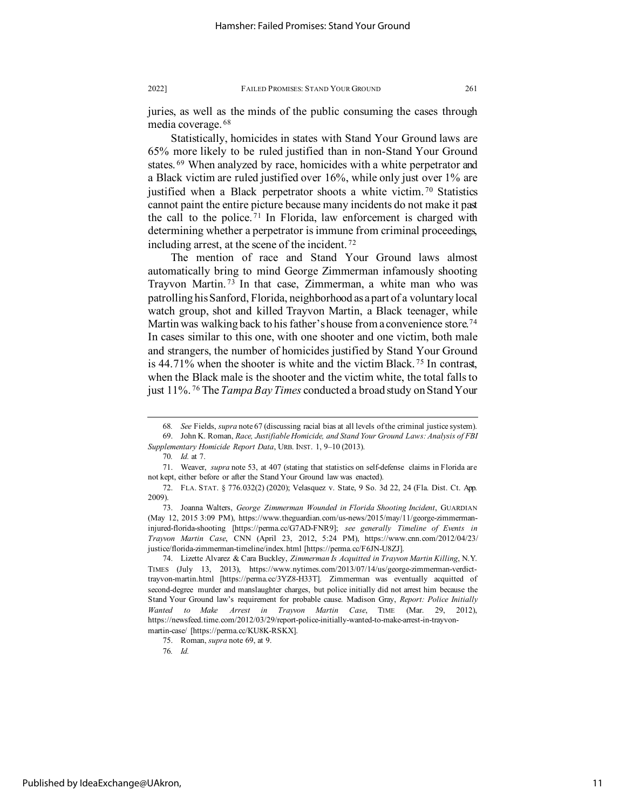juries, as well as the minds of the public consuming the cases through media coverage. [68](#page-11-1)

<span id="page-11-0"></span>Statistically, homicides in states with Stand Your Ground laws are 65% more likely to be ruled justified than in non-Stand Your Ground states.<sup>[69](#page-11-2)</sup> When analyzed by race, homicides with a white perpetrator and a Black victim are ruled justified over 16%, while only just over 1% are justified when a Black perpetrator shoots a white victim.<sup>[70](#page-11-3)</sup> Statistics cannot paint the entire picture because many incidents do not make it past the call to the police. [71](#page-11-4) In Florida, law enforcement is charged with determining whether a perpetrator is immune from criminal proceedings, including arrest, at the scene of the incident. [72](#page-11-5)

<span id="page-11-10"></span>The mention of race and Stand Your Ground laws almost automatically bring to mind George Zimmerman infamously shooting Trayvon Martin. [73](#page-11-6) In that case, Zimmerman, a white man who was patrolling his Sanford, Florida, neighborhood as a part of a voluntary local watch group, shot and killed Trayvon Martin, a Black teenager, while Martin was walking back to his father's house from a convenience store.<sup>[74](#page-11-7)</sup> In cases similar to this one, with one shooter and one victim, both male and strangers, the number of homicides justified by Stand Your Ground is 44.71% when the shooter is white and the victim Black. [75](#page-11-8) In contrast, when the Black male is the shooter and the victim white, the total falls to just 11%. [76](#page-11-9) The *Tampa Bay Times* conducted a broad study on Stand Your

<sup>68</sup>*. See* Fields, *supra* not[e 67](#page-10-10) (discussing racial bias at all levels of the criminal justice system). 69. John K. Roman, *Race, Justifiable Homicide, and Stand Your Ground Laws: Analysis of FBI* 

<span id="page-11-3"></span><span id="page-11-2"></span><span id="page-11-1"></span>*Supplementary Homicide Report Data*, URB. INST. 1, 9–10 (2013). 70*. Id.* at 7.

<span id="page-11-4"></span><sup>71.</sup> Weaver, *supra* note [53,](#page-9-10) at 407 (stating that statistics on self-defense claims in Florida are not kept, either before or after the Stand Your Ground law was enacted).

<span id="page-11-5"></span><sup>72.</sup> FLA. STAT. § 776.032(2) (2020); Velasquez v. State, 9 So. 3d 22, 24 (Fla. Dist. Ct. App. 2009).

<span id="page-11-6"></span><sup>73.</sup> Joanna Walters, *George Zimmerman Wounded in Florida Shooting Incident*, GUARDIAN (May 12, 2015 3:09 PM), https://www.theguardian.com/us-news/2015/may/11/george-zimmermaninjured-florida-shooting [https://perma.cc/G7AD-FNR9]; *see generally Timeline of Events in Trayvon Martin Case*, CNN (April 23, 2012, 5:24 PM), https://www.cnn.com/2012/04/23/ justice/florida-zimmerman-timeline/index.html [https://perma.cc/F6JN-U8ZJ].

<span id="page-11-7"></span><sup>74.</sup> Lizette Alvarez & Cara Buckley, *Zimmerman Is Acquitted in Trayvon Martin Killing*, N.Y. TIMES (July 13, 2013), https://www.nytimes.com/2013/07/14/us/george-zimmerman-verdicttrayvon-martin.html [https://perma.cc/3YZ8-H33T]. Zimmerman was eventually acquitted of second-degree murder and manslaughter charges, but police initially did not arrest him because the Stand Your Ground law's requirement for probable cause. Madison Gray, *Report: Police Initially Wanted to Make Arrest in Trayvon Martin Case*, TIME (Mar. 29, 2012), https://newsfeed.time.com/2012/03/29/report-police-initially-wanted-to-make-arrest-in-trayvonmartin-case/ [https://perma.cc/KU8K-RSKX].

<span id="page-11-9"></span><span id="page-11-8"></span><sup>75.</sup> Roman, *supra* note [69,](#page-11-0) at 9.

<sup>76</sup>*. Id.*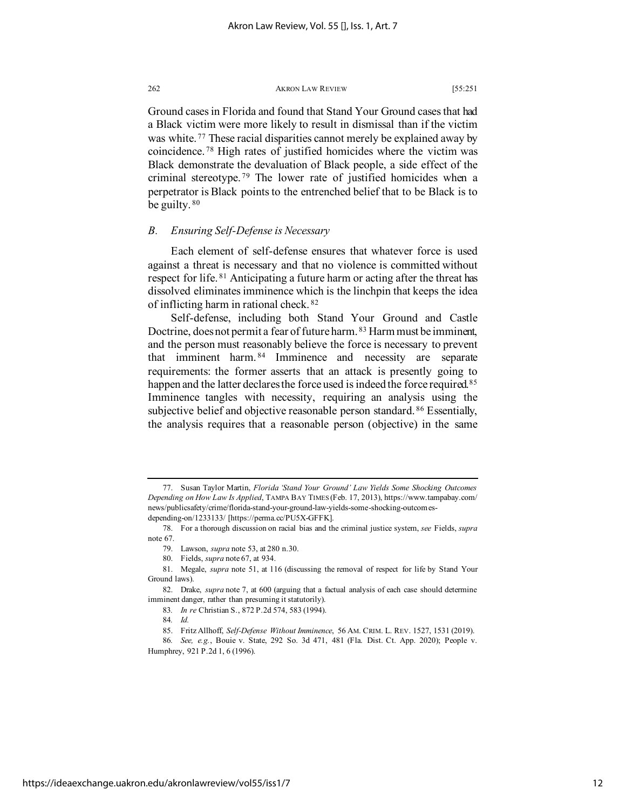<span id="page-12-11"></span>Ground cases in Florida and found that Stand Your Ground cases that had a Black victim were more likely to result in dismissal than if the victim was white. [77](#page-12-0) These racial disparities cannot merely be explained away by coincidence. [78](#page-12-1) High rates of justified homicides where the victim was Black demonstrate the devaluation of Black people, a side effect of the criminal stereotype. [79](#page-12-2) The lower rate of justified homicides when a perpetrator is Black points to the entrenched belief that to be Black is to be guilty.  $80$ 

# *B. Ensuring Self-Defense is Necessary*

Each element of self-defense ensures that whatever force is used against a threat is necessary and that no violence is committed without respect for life.<sup>[81](#page-12-4)</sup> Anticipating a future harm or acting after the threat has dissolved eliminates imminence which is the linchpin that keeps the idea of inflicting harm in rational check. [82](#page-12-5)

<span id="page-12-10"></span>Self-defense, including both Stand Your Ground and Castle Doctrine, does not permit a fear of future harm. <sup>[83](#page-12-6)</sup> Harm must be imminent, and the person must reasonably believe the force is necessary to prevent that imminent harm. [84](#page-12-7) Imminence and necessity are separate requirements: the former asserts that an attack is presently going to happen and the latter declares the force used is indeed the force required.<sup>[85](#page-12-8)</sup> Imminence tangles with necessity, requiring an analysis using the subjective belief and objective reasonable person standard.<sup>[86](#page-12-9)</sup> Essentially, the analysis requires that a reasonable person (objective) in the same

<span id="page-12-0"></span><sup>77.</sup> Susan Taylor Martin, *Florida 'Stand Your Ground' Law Yields Some Shocking Outcomes Depending on How Law Is Applied*, TAMPA BAY TIMES (Feb. 17, 2013), https://www.tampabay.com/ news/publicsafety/crime/florida-stand-your-ground-law-yields-some-shocking-outcomesdepending-on/1233133/ [https://perma.cc/PU5X-GFFK].

<span id="page-12-2"></span><span id="page-12-1"></span><sup>78.</sup> For a thorough discussion on racial bias and the criminal justice system, *see* Fields, *supra* note [67.](#page-10-10)

<sup>79.</sup> Lawson, *supra* not[e 53,](#page-9-10) at 280 n.30.

<sup>80.</sup> Fields, *supra* not[e 67,](#page-10-10) at 934.

<span id="page-12-4"></span><span id="page-12-3"></span><sup>81.</sup> Megale, *supra* note [51,](#page-9-11) at 116 (discussing the removal of respect for life by Stand Your Ground laws).

<span id="page-12-6"></span><span id="page-12-5"></span><sup>82.</sup> Drake, *supra* note [7,](#page-2-7) at 600 (arguing that a factual analysis of each case should determine imminent danger, rather than presuming it statutorily).

<sup>83</sup>*. In re* Christian S., 872 P.2d 574, 583 (1994).

<sup>84</sup>*. Id.*

<sup>85.</sup> Fritz Allhoff, *Self-Defense Without Imminence*, 56 AM. CRIM. L. REV. 1527, 1531 (2019).

<span id="page-12-9"></span><span id="page-12-8"></span><span id="page-12-7"></span><sup>86</sup>*. See, e.g.*, Bouie v. State, 292 So. 3d 471, 481 (Fla. Dist. Ct. App. 2020); People v. Humphrey, 921 P.2d 1, 6 (1996).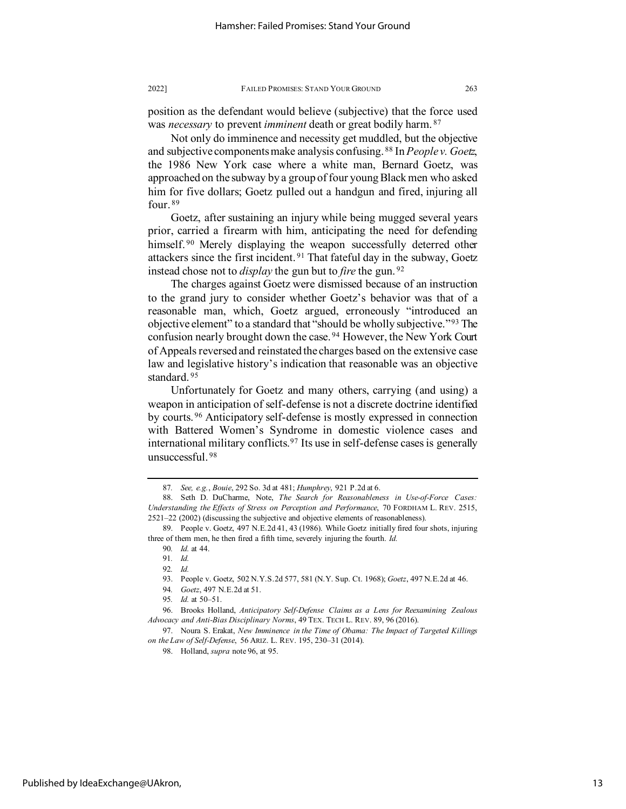position as the defendant would believe (subjective) that the force used was *necessary* to prevent *imminent* death or great bodily harm. [87](#page-13-0)

<span id="page-13-12"></span>Not only do imminence and necessity get muddled, but the objective and subjective components make analysis confusing. [88](#page-13-1) In *People v. Goetz*, the 1986 New York case where a white man, Bernard Goetz, was approached on the subway by a group of four young Black men who asked him for five dollars; Goetz pulled out a handgun and fired, injuring all four. [89](#page-13-2)

Goetz, after sustaining an injury while being mugged several years prior, carried a firearm with him, anticipating the need for defending himself.<sup>[90](#page-13-3)</sup> Merely displaying the weapon successfully deterred other attackers since the first incident. [91](#page-13-4) That fateful day in the subway, Goetz instead chose not to *display* the gun but to *fire* the gun. [92](#page-13-5)

The charges against Goetz were dismissed because of an instruction to the grand jury to consider whether Goetz's behavior was that of a reasonable man, which, Goetz argued, erroneously "introduced an objective element" to a standard that "should be wholly subjective."[93](#page-13-6) The confusion nearly brought down the case. [94](#page-13-7) However, the New York Court of Appeals reversed and reinstated the charges based on the extensive case law and legislative history's indication that reasonable was an objective standard. [95](#page-13-8)

<span id="page-13-13"></span>Unfortunately for Goetz and many others, carrying (and using) a weapon in anticipation of self-defense is not a discrete doctrine identified by courts. [96](#page-13-9) Anticipatory self-defense is mostly expressed in connection with Battered Women's Syndrome in domestic violence cases and international military conflicts.<sup>[97](#page-13-10)</sup> Its use in self-defense cases is generally unsuccessful. [98](#page-13-11)

<sup>87</sup>*. See, e.g.*, *Bouie*, 292 So. 3d at 481; *Humphrey*, 921 P.2d at 6.

<span id="page-13-1"></span><span id="page-13-0"></span><sup>88.</sup> Seth D. DuCharme, Note, *The Search for Reasonableness in Use-of-Force Cases: Understanding the Effects of Stress on Perception and Performance*, 70 FORDHAM L. REV. 2515, 2521–22 (2002) (discussing the subjective and objective elements of reasonableness).

<span id="page-13-5"></span><span id="page-13-4"></span><span id="page-13-3"></span><span id="page-13-2"></span><sup>89.</sup> People v. Goetz, 497 N.E.2d 41, 43 (1986). While Goetz initially fired four shots, injuring three of them men, he then fired a fifth time, severely injuring the fourth. *Id.*

<sup>90</sup>*. Id.* at 44.

<sup>91</sup>*. Id.*

<sup>92</sup>*. Id.*

<sup>93.</sup> People v. Goetz, 502 N.Y.S.2d 577, 581 (N.Y. Sup. Ct. 1968); *Goetz*, 497 N.E.2d at 46.

<sup>94</sup>*. Goetz*, 497 N.E.2d at 51.

<sup>95</sup>*. Id.* at 50–51.

<span id="page-13-9"></span><span id="page-13-8"></span><span id="page-13-7"></span><span id="page-13-6"></span><sup>96.</sup> Brooks Holland, *Anticipatory Self-Defense Claims as a Lens for Reexamining Zealous Advocacy and Anti-Bias Disciplinary Norms*, 49 TEX. TECH L. REV. 89, 96 (2016).

<span id="page-13-11"></span><span id="page-13-10"></span><sup>97.</sup> Noura S. Erakat, *New Imminence in the Time of Obama: The Impact of Targeted Killings on the Law of Self-Defense*, 56 ARIZ. L. REV. 195, 230–31 (2014).

<sup>98.</sup> Holland, *supra* note 96, at 95.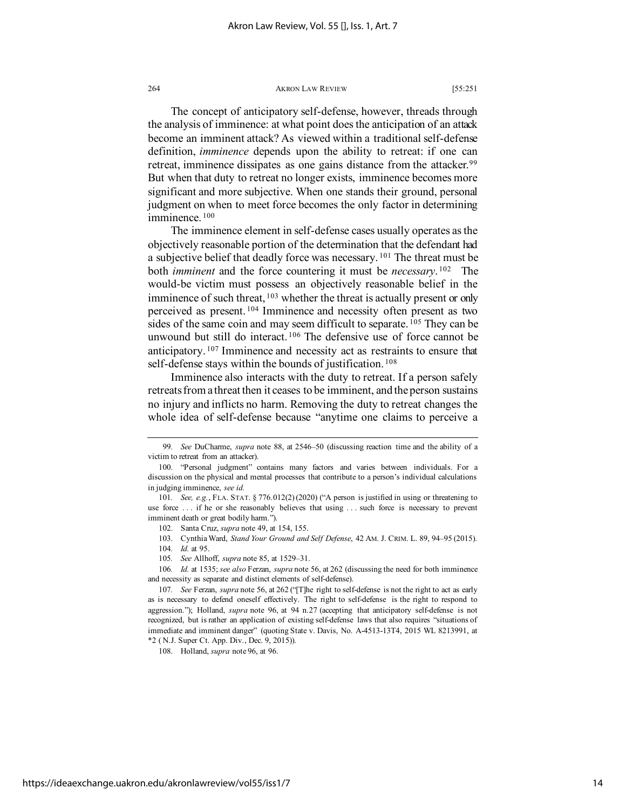The concept of anticipatory self-defense, however, threads through the analysis of imminence: at what point does the anticipation of an attack become an imminent attack? As viewed within a traditional self-defense definition, *imminence* depends upon the ability to retreat: if one can retreat, imminence dissipates as one gains distance from the attacker.<sup>[99](#page-14-0)</sup> But when that duty to retreat no longer exists, imminence becomes more significant and more subjective. When one stands their ground, personal judgment on when to meet force becomes the only factor in determining imminence. [100](#page-14-1)

The imminence element in self-defense cases usually operates as the objectively reasonable portion of the determination that the defendant had a subjective belief that deadly force was necessary. [101](#page-14-2) The threat must be both *imminent* and the force countering it must be *necessary*. [102](#page-14-3) The would-be victim must possess an objectively reasonable belief in the imminence of such threat, <sup>[103](#page-14-4)</sup> whether the threat is actually present or only perceived as present. [104](#page-14-5) Imminence and necessity often present as two sides of the same coin and may seem difficult to separate. <sup>[105](#page-14-6)</sup> They can be unwound but still do interact.<sup>[106](#page-14-7)</sup> The defensive use of force cannot be anticipatory. [107](#page-14-8) Imminence and necessity act as restraints to ensure that self-defense stays within the bounds of justification.<sup>[108](#page-14-9)</sup>

Imminence also interacts with the duty to retreat. If a person safely retreats from a threat then it ceases to be imminent, and the person sustains no injury and inflicts no harm. Removing the duty to retreat changes the whole idea of self-defense because "anytime one claims to perceive a

<span id="page-14-9"></span>108. Holland, *supra* note 96, at 96.

<span id="page-14-0"></span><sup>99</sup>*. See* DuCharme, *supra* note [88,](#page-13-12) at 2546–50 (discussing reaction time and the ability of a victim to retreat from an attacker).

<span id="page-14-1"></span><sup>100. &</sup>quot;Personal judgment" contains many factors and varies between individuals. For a discussion on the physical and mental processes that contribute to a person's individual calculations in judging imminence, *see id.*

<span id="page-14-3"></span><span id="page-14-2"></span><sup>101</sup>*. See, e.g.*, FLA. STAT. § 776.012(2) (2020) ("A person is justified in using or threatening to use force ... if he or she reasonably believes that using ... such force is necessary to prevent imminent death or great bodily harm.").

<sup>102.</sup> Santa Cruz, *supra* note [49,](#page-8-6) at 154, 155.

<sup>103.</sup> Cynthia Ward, *Stand Your Ground and Self Defense*, 42 AM. J. CRIM. L. 89, 94–95 (2015).

<sup>104</sup>*. Id.* at 95.

<sup>105</sup>*. See* Allhoff, *supra* not[e 85,](#page-12-10) at 1529–31.

<span id="page-14-7"></span><span id="page-14-6"></span><span id="page-14-5"></span><span id="page-14-4"></span><sup>106</sup>*. Id.* at 1535; *see also* Ferzan, *supra* note [56,](#page-9-12) at 262 (discussing the need for both imminence and necessity as separate and distinct elements of self-defense).

<span id="page-14-8"></span><sup>107.</sup> *See* Ferzan, *supra* not[e 56,](#page-9-12) at 262 ("The right to self-defense is not the right to act as early as is necessary to defend oneself effectively. The right to self-defense is the right to respond to aggression."); Holland, *supra* note [96,](#page-13-13) at 94 n.27 (accepting that anticipatory self-defense is not recognized, but is rather an application of existing self-defense laws that also requires "situations of immediate and imminent danger" (quoting State v. Davis, No. A-4513-13T4, 2015 WL 8213991, at \*2 ( N.J. Super Ct. App. Div., Dec. 9, 2015)).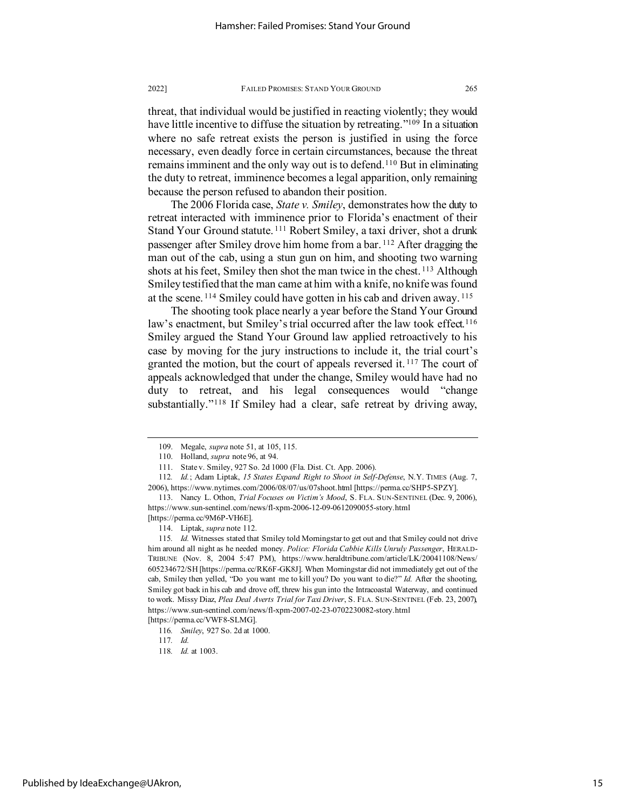threat, that individual would be justified in reacting violently; they would have little incentive to diffuse the situation by retreating."<sup>109</sup> In a situation where no safe retreat exists the person is justified in using the force necessary, even deadly force in certain circumstances, because the threat remains imminent and the only way out is to defend.<sup>[110](#page-15-2)</sup> But in eliminating the duty to retreat, imminence becomes a legal apparition, only remaining because the person refused to abandon their position.

<span id="page-15-0"></span>The 2006 Florida case, *State v. Smiley*, demonstrates how the duty to retreat interacted with imminence prior to Florida's enactment of their Stand Your Ground statute. [111](#page-15-3) Robert Smiley, a taxi driver, shot a drunk passenger after Smiley drove him home from a bar. [112](#page-15-4) After dragging the man out of the cab, using a stun gun on him, and shooting two warning shots at his feet, Smiley then shot the man twice in the chest.<sup>[113](#page-15-5)</sup> Although Smiley testified that the man came at him with a knife, no knife was found at the scene. [114](#page-15-6) Smiley could have gotten in his cab and driven away. [115](#page-15-7)

<span id="page-15-11"></span>The shooting took place nearly a year before the Stand Your Ground law's enactment, but Smiley's trial occurred after the law took effect.<sup>[116](#page-15-8)</sup> Smiley argued the Stand Your Ground law applied retroactively to his case by moving for the jury instructions to include it, the trial court's granted the motion, but the court of appeals reversed it.<sup>[117](#page-15-9)</sup> The court of appeals acknowledged that under the change, Smiley would have had no duty to retreat, and his legal consequences would "change substantially."<sup>[118](#page-15-10)</sup> If Smiley had a clear, safe retreat by driving away,

<span id="page-15-10"></span><span id="page-15-9"></span><span id="page-15-8"></span>

<sup>109.</sup> Megale, *supra* note [51,](#page-9-11) at 105, 115.

<sup>110.</sup> Holland, *supra* note 96, at 94.

<sup>111.</sup> State v. Smiley, 927 So. 2d 1000 (Fla. Dist. Ct. App. 2006).

<span id="page-15-4"></span><span id="page-15-3"></span><span id="page-15-2"></span><span id="page-15-1"></span><sup>112</sup>*. Id.*; Adam Liptak, *15 States Expand Right to Shoot in Self-Defense*, N.Y. TIMES (Aug. 7, 2006), https://www.nytimes.com/2006/08/07/us/07shoot.html [https://perma.cc/SHP5-SPZY].

<span id="page-15-5"></span><sup>113.</sup> Nancy L. Othon, *Trial Focuses on Victim's Mood*, S. FLA. SUN-SENTINEL (Dec. 9, 2006), https://www.sun-sentinel.com/news/fl-xpm-2006-12-09-0612090055-story.html [https://perma.cc/9M6P-VH6E].

<sup>114.</sup> Liptak, *supra* note [112.](#page-15-0)

<span id="page-15-7"></span><span id="page-15-6"></span><sup>115</sup>*. Id.* Witnesses stated that Smiley told Morningstar to get out and that Smiley could not drive him around all night as he needed money. *Police: Florida Cabbie Kills Unruly Passenger*, HERALD-TRIBUNE (Nov. 8, 2004 5:47 PM), https://www.heraldtribune.com/article/LK/20041108/News/ 605234672/SH [https://perma.cc/RK6F-GK8J]. When Morningstar did not immediately get out of the cab, Smiley then yelled, "Do you want me to kill you? Do you want to die?" *Id.* After the shooting, Smiley got back in his cab and drove off, threw his gun into the Intracoastal Waterway, and continued to work. Missy Diaz, *Plea Deal Averts Trial for Taxi Driver*, S. FLA. SUN-SENTINEL (Feb. 23, 2007), https://www.sun-sentinel.com/news/fl-xpm-2007-02-23-0702230082-story.html [https://perma.cc/VWF8-SLMG].

<sup>116</sup>*. Smiley*, 927 So. 2d at 1000.

<sup>117</sup>*. Id.*

<sup>118</sup>*. Id.* at 1003.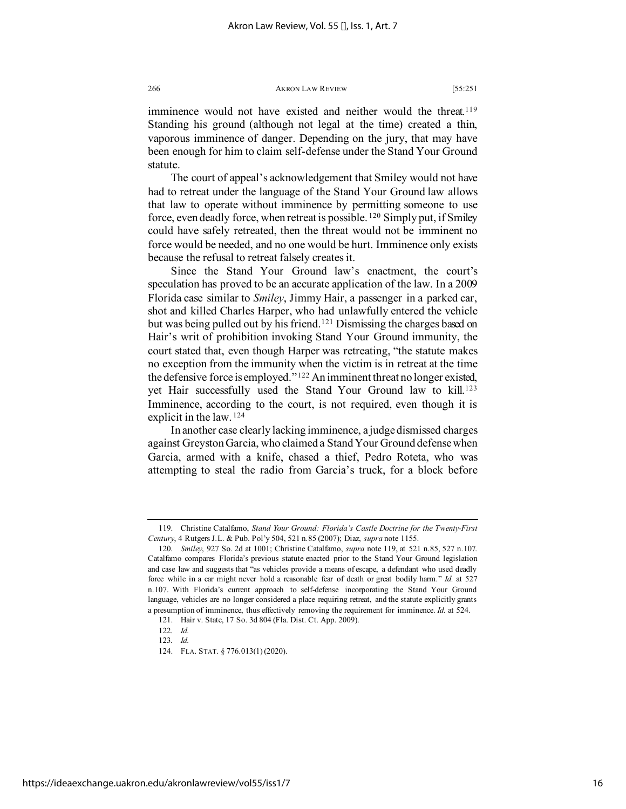imminence would not have existed and neither would the threat.<sup>[119](#page-16-0)</sup> Standing his ground (although not legal at the time) created a thin, vaporous imminence of danger. Depending on the jury, that may have been enough for him to claim self-defense under the Stand Your Ground statute.

The court of appeal's acknowledgement that Smiley would not have had to retreat under the language of the Stand Your Ground law allows that law to operate without imminence by permitting someone to use force, even deadly force, when retreat is possible. [120](#page-16-1) Simply put, if Smiley could have safely retreated, then the threat would not be imminent no force would be needed, and no one would be hurt. Imminence only exists because the refusal to retreat falsely creates it.

Since the Stand Your Ground law's enactment, the court's speculation has proved to be an accurate application of the law. In a 2009 Florida case similar to *Smiley*, Jimmy Hair, a passenger in a parked car, shot and killed Charles Harper, who had unlawfully entered the vehicle but was being pulled out by his friend.<sup>[121](#page-16-2)</sup> Dismissing the charges based on Hair's writ of prohibition invoking Stand Your Ground immunity, the court stated that, even though Harper was retreating, "the statute makes no exception from the immunity when the victim is in retreat at the time the defensive force is employed."[122](#page-16-3) An imminent threat no longer existed, yet Hair successfully used the Stand Your Ground law to kill.[123](#page-16-4) Imminence, according to the court, is not required, even though it is explicit in the law. [124](#page-16-5)

In another case clearly lacking imminence, a judge dismissed charges against Greyston Garcia, who claimed a Stand Your Ground defense when Garcia, armed with a knife, chased a thief, Pedro Roteta, who was attempting to steal the radio from Garcia's truck, for a block before

<span id="page-16-0"></span><sup>119.</sup> Christine Catalfamo, *Stand Your Ground: Florida's Castle Doctrine for the Twenty-First Century*, 4 Rutgers J.L. & Pub. Pol'y 504, 521 n.85 (2007); Diaz, *supra* note [1155](#page-15-11).

<span id="page-16-1"></span><sup>120</sup>*. Smiley*, 927 So. 2d at 1001; Christine Catalfamo, *supra* note 119, at 521 n.85, 527 n.107. Catalfamo compares Florida's previous statute enacted prior to the Stand Your Ground legislation and case law and suggests that "as vehicles provide a means of escape, a defendant who used deadly force while in a car might never hold a reasonable fear of death or great bodily harm." *Id.* at 527 n.107. With Florida's current approach to self-defense incorporating the Stand Your Ground language, vehicles are no longer considered a place requiring retreat, and the statute explicitly grants a presumption of imminence, thus effectively removing the requirement for imminence. *Id.* at 524.

<span id="page-16-4"></span><span id="page-16-3"></span><span id="page-16-2"></span><sup>121.</sup> Hair v. State, 17 So. 3d 804 (Fla. Dist. Ct. App. 2009).

<span id="page-16-5"></span><sup>122</sup>*. Id.*

<sup>123</sup>*. Id.*

<sup>124.</sup> FLA. STAT. § 776.013(1) (2020).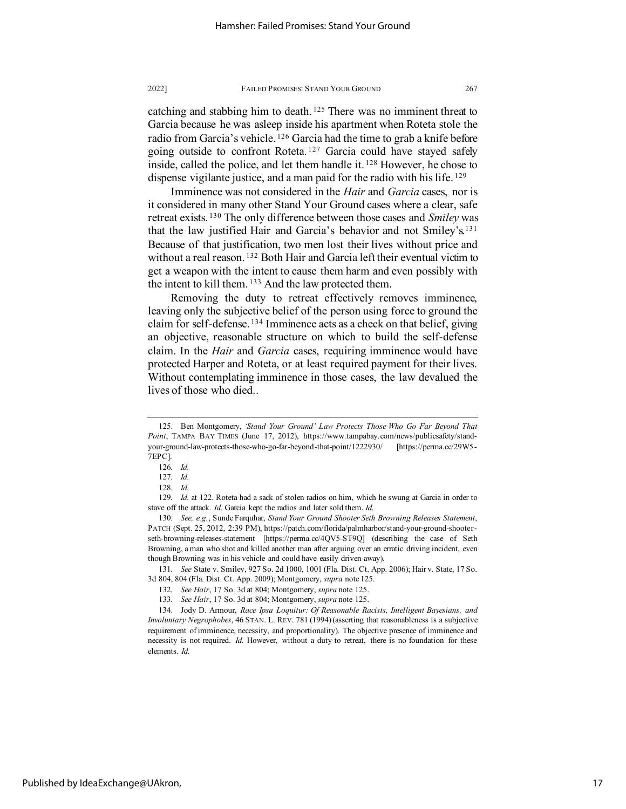<span id="page-17-0"></span>catching and stabbing him to death. [125](#page-17-1) There was no imminent threat to Garcia because he was asleep inside his apartment when Roteta stole the radio from Garcia's vehicle. [126](#page-17-2) Garcia had the time to grab a knife before going outside to confront Roteta. [127](#page-17-3) Garcia could have stayed safely inside, called the police, and let them handle it. [128](#page-17-4) However, he chose to dispense vigilante justice, and a man paid for the radio with his life. <sup>[129](#page-17-5)</sup>

Imminence was not considered in the *Hair* and *Garcia* cases, nor is it considered in many other Stand Your Ground cases where a clear, safe retreat exists. [130](#page-17-6) The only difference between those cases and *Smiley* was that the law justified Hair and Garcia's behavior and not Smiley's.[131](#page-17-7) Because of that justification, two men lost their lives without price and without a real reason.<sup>[132](#page-17-8)</sup> Both Hair and Garcia left their eventual victim to get a weapon with the intent to cause them harm and even possibly with the intent to kill them. <sup>[133](#page-17-9)</sup> And the law protected them.

<span id="page-17-11"></span>Removing the duty to retreat effectively removes imminence, leaving only the subjective belief of the person using force to ground the claim for self-defense. [134](#page-17-10) Imminence acts as a check on that belief, giving an objective, reasonable structure on which to build the self-defense claim. In the *Hair* and *Garcia* cases, requiring imminence would have protected Harper and Roteta, or at least required payment for their lives. Without contemplating imminence in those cases, the law devalued the lives of those who died..

<span id="page-17-1"></span><sup>125.</sup> Ben Montgomery, *'Stand Your Ground' Law Protects Those Who Go Far Beyond That Point*, TAMPA BAY TIMES (June 17, 2012), https://www.tampabay.com/news/publicsafety/standyour-ground-law-protects-those-who-go-far-beyond-that-point/1222930/ [https://perma.cc/29W5- 7EPC].

<sup>126</sup>*. Id.*

<sup>127</sup>*. Id.*

<sup>128</sup>*. Id.*

<span id="page-17-5"></span><span id="page-17-4"></span><span id="page-17-3"></span><span id="page-17-2"></span><sup>129</sup>*. Id.* at 122. Roteta had a sack of stolen radios on him, which he swung at Garcia in order to stave off the attack. *Id.* Garcia kept the radios and later sold them. *Id.*

<span id="page-17-6"></span><sup>130</sup>*. See, e.g.*, Sunde Farquhar, *Stand Your Ground Shooter Seth Browning Releases Statement*, PATCH (Sept. 25, 2012, 2:39 PM), https://patch.com/florida/palmharbor/stand-your-ground-shooterseth-browning-releases-statement [https://perma.cc/4QV5-ST9Q] (describing the case of Seth Browning, a man who shot and killed another man after arguing over an erratic driving incident, even though Browning was in his vehicle and could have easily driven away).

<span id="page-17-8"></span><span id="page-17-7"></span><sup>131</sup>*. See* State v. Smiley, 927 So. 2d 1000, 1001 (Fla. Dist. Ct. App. 2006); Hair v. State, 17 So. 3d 804, 804 (Fla. Dist. Ct. App. 2009); Montgomery, *supra* not[e 125.](#page-17-0)

<sup>132</sup>*. See Hair*, 17 So. 3d at 804; Montgomery, *supra* not[e 125.](#page-17-0)

<sup>133</sup>*. See Hair*, 17 So. 3d at 804; Montgomery, *supra* not[e 125.](#page-17-0)

<span id="page-17-10"></span><span id="page-17-9"></span><sup>134.</sup> Jody D. Armour, *Race Ipsa Loquitur: Of Reasonable Racists, Intelligent Bayesians, and Involuntary Negrophobes*, 46 STAN. L. REV. 781 (1994) (asserting that reasonableness is a subjective requirement of imminence, necessity, and proportionality). The objective presence of imminence and necessity is not required. *Id.* However, without a duty to retreat, there is no foundation for these elements. *Id.*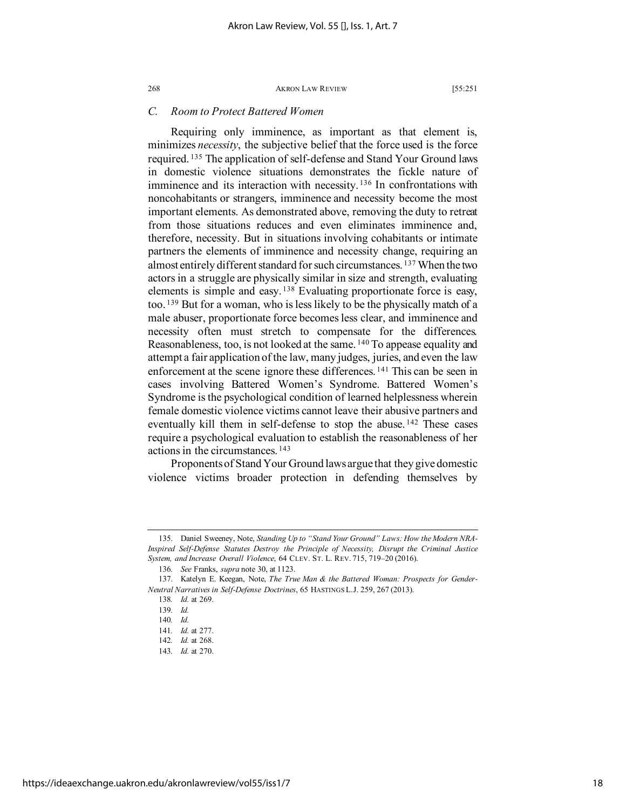# <span id="page-18-0"></span>*C. Room to Protect Battered Women*

Requiring only imminence, as important as that element is, minimizes *necessity*, the subjective belief that the force used is the force required. [135](#page-18-1) The application of self-defense and Stand Your Ground laws in domestic violence situations demonstrates the fickle nature of imminence and its interaction with necessity.<sup>[136](#page-18-2)</sup> In confrontations with noncohabitants or strangers, imminence and necessity become the most important elements. As demonstrated above, removing the duty to retreat from those situations reduces and even eliminates imminence and, therefore, necessity. But in situations involving cohabitants or intimate partners the elements of imminence and necessity change, requiring an almost entirely different standard for such circumstances. [137](#page-18-3) When the two actors in a struggle are physically similar in size and strength, evaluating elements is simple and easy. [138](#page-18-4) Evaluating proportionate force is easy, too. [139](#page-18-5) But for a woman, who is less likely to be the physically match of a male abuser, proportionate force becomes less clear, and imminence and necessity often must stretch to compensate for the differences. Reasonableness, too, is not looked at the same. <sup>[140](#page-18-6)</sup> To appease equality and attempt a fair application of the law, many judges, juries, and even the law enforcement at the scene ignore these differences. [141](#page-18-7) This can be seen in cases involving Battered Women's Syndrome. Battered Women's Syndrome is the psychological condition of learned helplessness wherein female domestic violence victims cannot leave their abusive partners and eventually kill them in self-defense to stop the abuse. [142](#page-18-8) These cases require a psychological evaluation to establish the reasonableness of her actions in the circumstances. [143](#page-18-9)

Proponents of Stand Your Ground laws argue that they give domestic violence victims broader protection in defending themselves by

<span id="page-18-1"></span><sup>135.</sup> Daniel Sweeney, Note, *Standing Up to "Stand Your Ground" Laws: How the Modern NRA-Inspired Self-Defense Statutes Destroy the Principle of Necessity, Disrupt the Criminal Justice System, and Increase Overall Violence*, 64 CLEV. ST. L. REV. 715, 719–20 (2016).

<sup>136</sup>*. See* Franks, *supra* note [30,](#page-5-7) at 1123.

<span id="page-18-7"></span><span id="page-18-6"></span><span id="page-18-5"></span><span id="page-18-4"></span><span id="page-18-3"></span><span id="page-18-2"></span><sup>137.</sup> Katelyn E. Keegan, Note, *The True Man & the Battered Woman: Prospects for Gender-Neutral Narratives in Self-Defense Doctrines*, 65 HASTINGS L.J. 259, 267 (2013).

<sup>138</sup>*. Id.* at 269.

<sup>139</sup>*. Id.*

<sup>140</sup>*. Id.*

<sup>141</sup>*. Id.* at 277.

<sup>142</sup>*. Id.* at 268.

<span id="page-18-9"></span><span id="page-18-8"></span><sup>143</sup>*. Id.* at 270.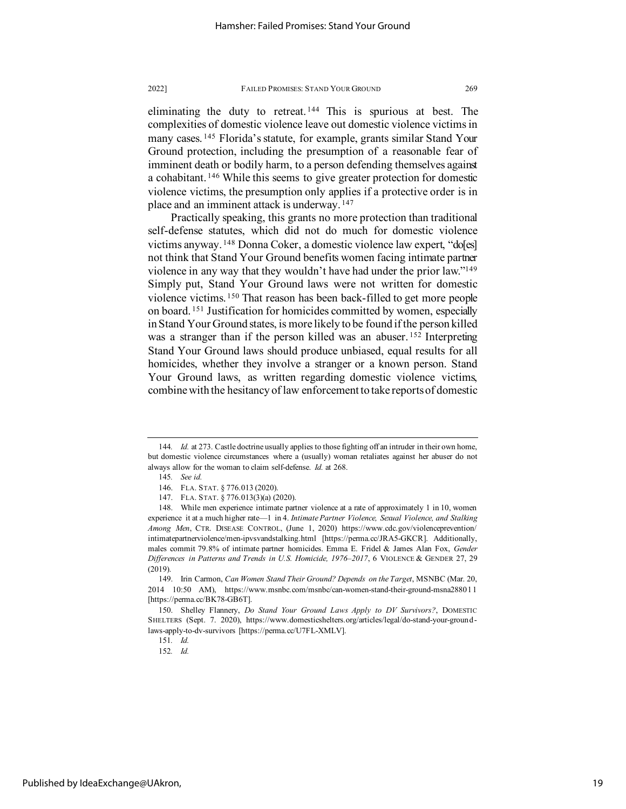eliminating the duty to retreat. [144](#page-19-0) This is spurious at best. The complexities of domestic violence leave out domestic violence victims in many cases. [145](#page-19-1) Florida's statute, for example, grants similar Stand Your Ground protection, including the presumption of a reasonable fear of imminent death or bodily harm, to a person defending themselves against a cohabitant. [146](#page-19-2) While this seems to give greater protection for domestic violence victims, the presumption only applies if a protective order is in place and an imminent attack is underway. [147](#page-19-3)

Practically speaking, this grants no more protection than traditional self-defense statutes, which did not do much for domestic violence victims anyway. [148](#page-19-4) Donna Coker, a domestic violence law expert, "do[es] not think that Stand Your Ground benefits women facing intimate partner violence in any way that they wouldn't have had under the prior law.["149](#page-19-5) Simply put, Stand Your Ground laws were not written for domestic violence victims. [150](#page-19-6) That reason has been back-filled to get more people on board. [151](#page-19-7) Justification for homicides committed by women, especially in Stand Your Ground states, is more likely to be found if the person killed was a stranger than if the person killed was an abuser.<sup>152</sup> Interpreting Stand Your Ground laws should produce unbiased, equal results for all homicides, whether they involve a stranger or a known person. Stand Your Ground laws, as written regarding domestic violence victims, combine with the hesitancy of law enforcement to take reports of domestic

151*. Id.* 152*. Id.*

<span id="page-19-1"></span><span id="page-19-0"></span><sup>144</sup>*. Id.* at 273. Castle doctrine usually applies to those fighting off an intruder in their own home, but domestic violence circumstances where a (usually) woman retaliates against her abuser do not always allow for the woman to claim self-defense. *Id.* at 268.

<sup>145</sup>*. See id.*

<sup>146.</sup> FLA. STAT. § 776.013 (2020).

<sup>147.</sup> FLA. STAT. § 776.013(3)(a) (2020).

<span id="page-19-4"></span><span id="page-19-3"></span><span id="page-19-2"></span><sup>148.</sup> While men experience intimate partner violence at a rate of approximately 1 in 10, women experience it at a much higher rate—1 in 4. *Intimate Partner Violence, Sexual Violence, and Stalking Among Men*, CTR. DISEASE CONTROL, (June 1, 2020) https://www.cdc.gov/violenceprevention/ intimatepartnerviolence/men-ipvsvandstalking.html [https://perma.cc/JRA5-GKCR]. Additionally, males commit 79.8% of intimate partner homicides. Emma E. Fridel & James Alan Fox, *Gender Differences in Patterns and Trends in U.S. Homicide, 1976–2017*, 6 VIOLENCE & GENDER 27, 29 (2019).

<span id="page-19-5"></span><sup>149.</sup> Irin Carmon, *Can Women Stand Their Ground? Depends on the Target*, MSNBC (Mar. 20, 2014 10:50 AM), https://www.msnbc.com/msnbc/can-women-stand-their-ground-msna288011 [https://perma.cc/BK78-GB6T].

<span id="page-19-8"></span><span id="page-19-7"></span><span id="page-19-6"></span><sup>150.</sup> Shelley Flannery, *Do Stand Your Ground Laws Apply to DV Survivors?*, DOMESTIC SHELTERS (Sept. 7. 2020), https://www.domesticshelters.org/articles/legal/do-stand-your-groundlaws-apply-to-dv-survivors [https://perma.cc/U7FL-XMLV].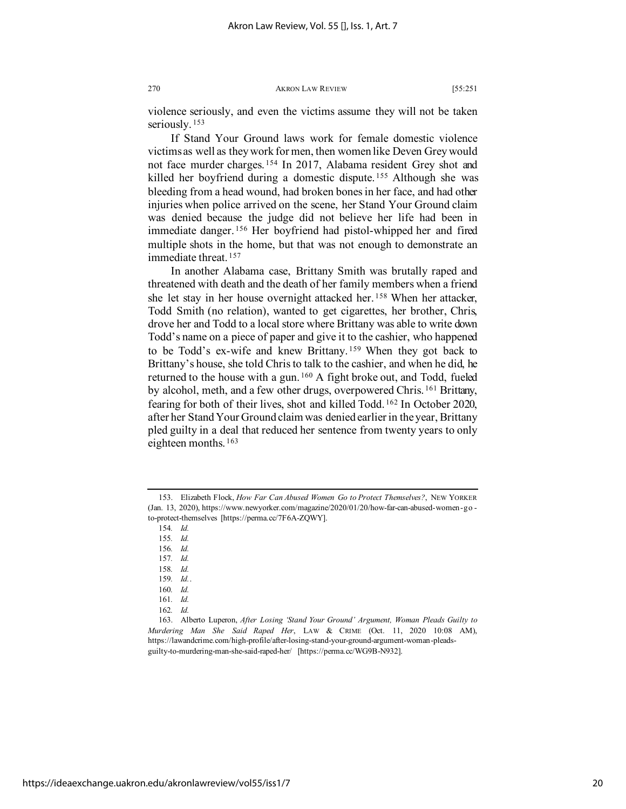violence seriously, and even the victims assume they will not be taken seriously.<sup>[153](#page-20-0)</sup>

If Stand Your Ground laws work for female domestic violence victims as well as they work for men, then women like Deven Grey would not face murder charges. [154](#page-20-1) In 2017, Alabama resident Grey shot and killed her boyfriend during a domestic dispute.<sup>[155](#page-20-2)</sup> Although she was bleeding from a head wound, had broken bones in her face, and had other injuries when police arrived on the scene, her Stand Your Ground claim was denied because the judge did not believe her life had been in immediate danger. [156](#page-20-3) Her boyfriend had pistol-whipped her and fired multiple shots in the home, but that was not enough to demonstrate an immediate threat. [157](#page-20-4)

In another Alabama case, Brittany Smith was brutally raped and threatened with death and the death of her family members when a friend she let stay in her house overnight attacked her. [158](#page-20-5) When her attacker, Todd Smith (no relation), wanted to get cigarettes, her brother, Chris, drove her and Todd to a local store where Brittany was able to write down Todd's name on a piece of paper and give it to the cashier, who happened to be Todd's ex-wife and knew Brittany. [159](#page-20-6) When they got back to Brittany's house, she told Chris to talk to the cashier, and when he did, he returned to the house with a gun. [160](#page-20-7) A fight broke out, and Todd, fueled by alcohol, meth, and a few other drugs, overpowered Chris. [161](#page-20-8) Brittany, fearing for both of their lives, shot and killed Todd. [162](#page-20-9) In October 2020, after her Stand Your Ground claim was denied earlier in the year, Brittany pled guilty in a deal that reduced her sentence from twenty years to only eighteen months. [163](#page-20-10)

162*. Id.*

<span id="page-20-3"></span><span id="page-20-2"></span><span id="page-20-1"></span><span id="page-20-0"></span><sup>153.</sup> Elizabeth Flock, *How Far Can Abused Women Go to Protect Themselves?*, NEW YORKER (Jan. 13, 2020), https://www.newyorker.com/magazine/2020/01/20/how-far-can-abused-women-go to-protect-themselves [https://perma.cc/7F6A-ZQWY].

<sup>154</sup>*. Id.*

<sup>155</sup>*. Id.*

<sup>156</sup>*. Id.*

<sup>157</sup>*. Id.*

<span id="page-20-4"></span><sup>158</sup>*. Id.*

<sup>159</sup>*. Id.*.

<sup>160</sup>*. Id.*

<sup>161</sup>*. Id.*

<span id="page-20-10"></span><span id="page-20-9"></span><span id="page-20-8"></span><span id="page-20-7"></span><span id="page-20-6"></span><span id="page-20-5"></span><sup>163.</sup> Alberto Luperon, *After Losing 'Stand Your Ground' Argument, Woman Pleads Guilty to Murdering Man She Said Raped Her*, LAW & CRIME (Oct. 11, 2020 10:08 AM), https://lawandcrime.com/high-profile/after-losing-stand-your-ground-argument-woman-pleadsguilty-to-murdering-man-she-said-raped-her/ [https://perma.cc/WG9B-N932].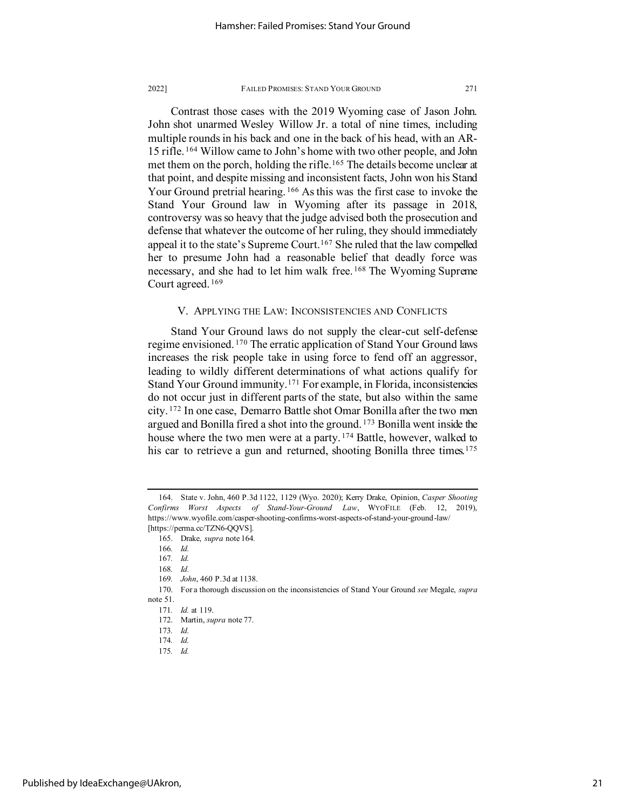Contrast those cases with the 2019 Wyoming case of Jason John. John shot unarmed Wesley Willow Jr. a total of nine times, including multiple rounds in his back and one in the back of his head, with an AR-15 rifle. [164](#page-21-0) Willow came to John's home with two other people, and John met them on the porch, holding the rifle.<sup>[165](#page-21-1)</sup> The details become unclear at that point, and despite missing and inconsistent facts, John won his Stand Your Ground pretrial hearing. [166](#page-21-2) As this was the first case to invoke the Stand Your Ground law in Wyoming after its passage in 2018, controversy was so heavy that the judge advised both the prosecution and defense that whatever the outcome of her ruling, they should immediately appeal it to the state's Supreme Court.<sup>[167](#page-21-3)</sup> She ruled that the law compelled her to presume John had a reasonable belief that deadly force was necessary, and she had to let him walk free. [168](#page-21-4) The Wyoming Supreme Court agreed. [169](#page-21-5)

# V. APPLYING THE LAW: INCONSISTENCIES AND CONFLICTS

Stand Your Ground laws do not supply the clear-cut self-defense regime envisioned. [170](#page-21-6) The erratic application of Stand Your Ground laws increases the risk people take in using force to fend off an aggressor, leading to wildly different determinations of what actions qualify for Stand Your Ground immunity.[171](#page-21-7) For example, in Florida, inconsistencies do not occur just in different parts of the state, but also within the same city. [172](#page-21-8) In one case, Demarro Battle shot Omar Bonilla after the two men argued and Bonilla fired a shot into the ground. [173](#page-21-9) Bonilla went inside the house where the two men were at a party.<sup>[174](#page-21-10)</sup> Battle, however, walked to his car to retrieve a gun and returned, shooting Bonilla three times.<sup>[175](#page-21-11)</sup>

<span id="page-21-0"></span><sup>164.</sup> State v. John, 460 P.3d 1122, 1129 (Wyo. 2020); Kerry Drake, Opinion, *Casper Shooting Confirms Worst Aspects of Stand-Your-Ground Law*, WYOFILE (Feb. 12, 2019), https://www.wyofile.com/casper-shooting-confirms-worst-aspects-of-stand-your-ground-law/ [https://perma.cc/TZN6-QQVS].

<span id="page-21-2"></span><span id="page-21-1"></span><sup>165.</sup> Drake, *supra* note 164*.*

<sup>166</sup>*. Id.*

<sup>167</sup>*. Id.*

<sup>168</sup>*. Id.*

<sup>169</sup>*. John*, 460 P.3d at 1138.

<span id="page-21-10"></span><span id="page-21-9"></span><span id="page-21-8"></span><span id="page-21-7"></span><span id="page-21-6"></span><span id="page-21-5"></span><span id="page-21-4"></span><span id="page-21-3"></span><sup>170.</sup> For a thorough discussion on the inconsistencies of Stand Your Ground *see* Megale, *supra* note [51.](#page-9-11)

<sup>171</sup>*. Id.* at 119.

<span id="page-21-11"></span><sup>172.</sup> Martin, *supra* not[e 77.](#page-12-11)

<sup>173</sup>*. Id.*

<sup>174</sup>*. Id.*

<sup>175</sup>*. Id.*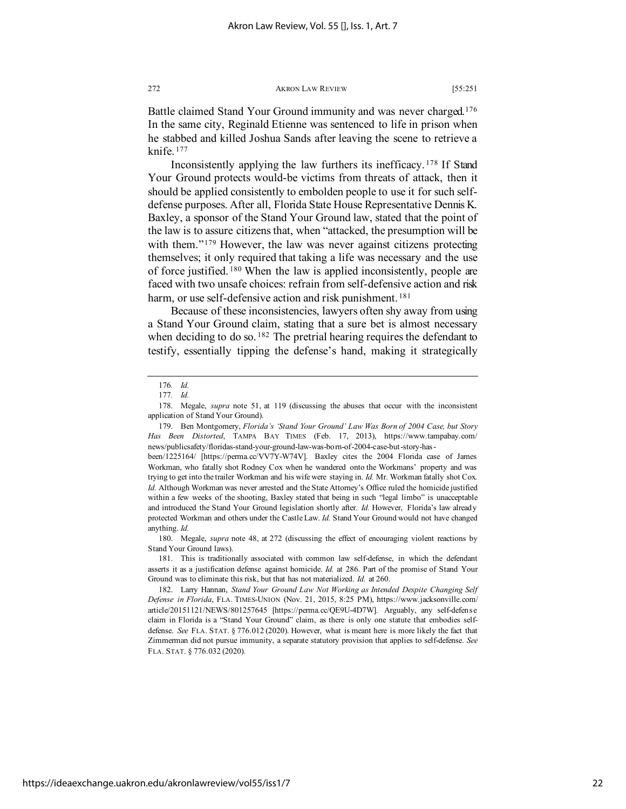Battle claimed Stand Your Ground immunity and was never charged.[176](#page-22-0) In the same city, Reginald Etienne was sentenced to life in prison when he stabbed and killed Joshua Sands after leaving the scene to retrieve a knife. [177](#page-22-1)

Inconsistently applying the law furthers its inefficacy. [178](#page-22-2) If Stand Your Ground protects would-be victims from threats of attack, then it should be applied consistently to embolden people to use it for such selfdefense purposes. After all, Florida State House Representative Dennis K. Baxley, a sponsor of the Stand Your Ground law, stated that the point of the law is to assure citizens that, when "attacked, the presumption will be with them."<sup>[179](#page-22-3)</sup> However, the law was never against citizens protecting themselves; it only required that taking a life was necessary and the use of force justified. [180](#page-22-4) When the law is applied inconsistently, people are faced with two unsafe choices: refrain from self-defensive action and risk harm, or use self-defensive action and risk punishment.<sup>[181](#page-22-5)</sup>

Because of these inconsistencies, lawyers often shy away from using a Stand Your Ground claim, stating that a sure bet is almost necessary when deciding to do so.  $182$  The pretrial hearing requires the defendant to testify, essentially tipping the defense's hand, making it strategically

https://ideaexchange.uakron.edu/akronlawreview/vol55/iss1/7

<sup>176</sup>*. Id.*

<sup>177</sup>*. Id.*

<span id="page-22-2"></span><span id="page-22-1"></span><span id="page-22-0"></span><sup>178.</sup> Megale, *supra* note [51,](#page-9-11) at 119 (discussing the abuses that occur with the inconsistent application of Stand Your Ground).

<span id="page-22-3"></span><sup>179.</sup> Ben Montgomery, *Florida's 'Stand Your Ground' Law Was Born of 2004 Case, but Story Has Been Distorted*, TAMPA BAY TIMES (Feb. 17, 2013), https://www.tampabay.com/ news/publicsafety/floridas-stand-your-ground-law-was-born-of-2004-case-but-story-has-

been/1225164/ [https://perma.cc/VV7Y-W74V]. Baxley cites the 2004 Florida case of James Workman, who fatally shot Rodney Cox when he wandered onto the Workmans' property and was trying to get into the trailer Workman and his wife were staying in. *Id.* Mr. Workman fatally shot Cox. *Id.* Although Workman was never arrested and the State Attorney's Office ruled the homicide justified within a few weeks of the shooting, Baxley stated that being in such "legal limbo" is unacceptable and introduced the Stand Your Ground legislation shortly after. *Id.* However, Florida's law already protected Workman and others under the Castle Law. *Id.* Stand Your Ground would not have changed anything. *Id.*

<span id="page-22-4"></span><sup>180.</sup> Megale, *supra* note [48,](#page-8-5) at 272 (discussing the effect of encouraging violent reactions by Stand Your Ground laws).

<span id="page-22-5"></span><sup>181.</sup> This is traditionally associated with common law self-defense, in which the defendant asserts it as a justification defense against homicide. *Id.* at 286. Part of the promise of Stand Your Ground was to eliminate this risk, but that has not materialized. *Id.* at 260.

<span id="page-22-6"></span><sup>182.</sup> Larry Hannan, *Stand Your Ground Law Not Working as Intended Despite Changing Self Defense in Florida*, FLA. TIMES-UNION (Nov. 21, 2015, 8:25 PM), https://www.jacksonville.com/ article/20151121/NEWS/801257645 [https://perma.cc/QE9U-4D7W]. Arguably, any self-defense claim in Florida is a "Stand Your Ground" claim, as there is only one statute that embodies selfdefense. *See* FLA. STAT. § 776.012 (2020). However, what is meant here is more likely the fact that Zimmerman did not pursue immunity, a separate statutory provision that applies to self-defense. *See* FLA. STAT. § 776.032 (2020).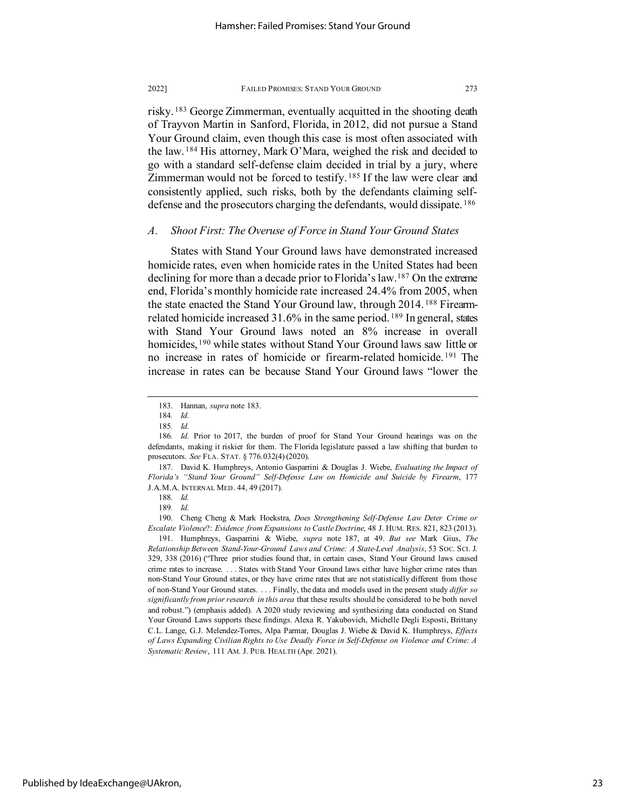risky. [183](#page-23-0) George Zimmerman, eventually acquitted in the shooting death of Trayvon Martin in Sanford, Florida, in 2012, did not pursue a Stand Your Ground claim, even though this case is most often associated with the law. [184](#page-23-1) His attorney, Mark O'Mara, weighed the risk and decided to go with a standard self-defense claim decided in trial by a jury, where Zimmerman would not be forced to testify. [185](#page-23-2) If the law were clear and consistently applied, such risks, both by the defendants claiming selfdefense and the prosecutors charging the defendants, would dissipate. [186](#page-23-3)

# *A. Shoot First: The Overuse of Force in Stand Your Ground States*

States with Stand Your Ground laws have demonstrated increased homicide rates, even when homicide rates in the United States had been declining for more than a decade prior to Florida's law.[187](#page-23-4) On the extreme end, Florida's monthly homicide rate increased 24.4% from 2005, when the state enacted the Stand Your Ground law, through 2014. [188](#page-23-5) Firearmrelated homicide increased  $31.6\%$  in the same period. <sup>[189](#page-23-6)</sup> In general, states with Stand Your Ground laws noted an 8% increase in overall homicides, <sup>[190](#page-23-7)</sup> while states without Stand Your Ground laws saw little or no increase in rates of homicide or firearm-related homicide. [191](#page-23-8) The increase in rates can be because Stand Your Ground laws "lower the

<span id="page-23-4"></span>187. David K. Humphreys, Antonio Gasparrini & Douglas J. Wiebe, *Evaluating the Impact of Florida's "Stand Your Ground" Self-Defense Law on Homicide and Suicide by Firearm*, 177 J.A.M.A. INTERNAL MED. 44, 49 (2017).

<span id="page-23-7"></span><span id="page-23-6"></span><span id="page-23-5"></span>190. Cheng Cheng & Mark Hoekstra, *Does Strengthening Self-Defense Law Deter Crime or Escalate Violence*?: *Evidence from Expansions to Castle Doctrine*, 48 J. HUM. RES. 821, 823 (2013).

<span id="page-23-8"></span>191. Humphreys, Gasparrini & Wiebe, *supra* note 187, at 49. *But see* Mark Gius, *The Relationship Between Stand-Your-Ground Laws and Crime: A State-Level Analysis*, 53 SOC. SCI. J. 329, 338 (2016) ("Three prior studies found that, in certain cases, Stand Your Ground laws caused crime rates to increase. . . . States with Stand Your Ground laws either have higher crime rates than non-Stand Your Ground states, or they have crime rates that are not statistically different from those of non-Stand Your Ground states. . . . Finally, the data and models used in the present study *differ so significantly from prior research in this area* that these results should be considered to be both novel and robust.") (emphasis added). A 2020 study reviewing and synthesizing data conducted on Stand Your Ground Laws supports these findings. Alexa R. Yakubovich, Michelle Degli Esposti, Brittany C.L. Lange, G.J. Melendez-Torres, Alpa Parmar, Douglas J. Wiebe & David K. Humphreys, *Effects of Laws Expanding Civilian Rights to Use Deadly Force in Self-Defense on Violence and Crime: A Systematic Review*, 111 AM. J. PUB. HEALTH (Apr. 2021).

<sup>183.</sup> Hannan, *supra* note 183.

<sup>184</sup>*. Id.*

<sup>185</sup>*. Id.*

<span id="page-23-3"></span><span id="page-23-2"></span><span id="page-23-1"></span><span id="page-23-0"></span><sup>186</sup>*. Id.* Prior to 2017, the burden of proof for Stand Your Ground hearings was on the defendants, making it riskier for them. The Florida legislature passed a law shifting that burden to prosecutors. *See* FLA. STAT. § 776.032(4) (2020).

<sup>188</sup>*. Id.*

<sup>189</sup>*. Id.*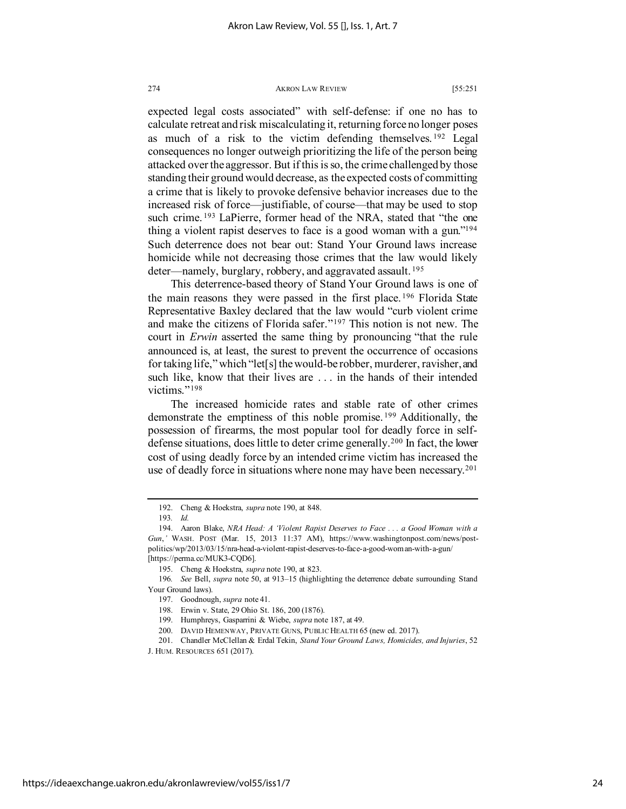expected legal costs associated" with self-defense: if one no has to calculate retreat and risk miscalculating it, returning force no longer poses as much of a risk to the victim defending themselves. [192](#page-24-0) Legal consequences no longer outweigh prioritizing the life of the person being attacked over the aggressor. But if this is so, the crime challenged by those standing their ground would decrease, as the expected costs of committing a crime that is likely to provoke defensive behavior increases due to the increased risk of force—justifiable, of course—that may be used to stop such crime. <sup>[193](#page-24-1)</sup> LaPierre, former head of the NRA, stated that "the one thing a violent rapist deserves to face is a good woman with a gun.["194](#page-24-2) Such deterrence does not bear out: Stand Your Ground laws increase homicide while not decreasing those crimes that the law would likely deter—namely, burglary, robbery, and aggravated assault.<sup>[195](#page-24-3)</sup>

This deterrence-based theory of Stand Your Ground laws is one of the main reasons they were passed in the first place.<sup>[196](#page-24-4)</sup> Florida State Representative Baxley declared that the law would "curb violent crime and make the citizens of Florida safer."[197](#page-24-5) This notion is not new. The court in *Erwin* asserted the same thing by pronouncing "that the rule announced is, at least, the surest to prevent the occurrence of occasions for taking life," which "let[s] the would-be robber, murderer, ravisher, and such like, know that their lives are . . . in the hands of their intended victims."<sup>[198](#page-24-6)</sup>

The increased homicide rates and stable rate of other crimes demonstrate the emptiness of this noble promise. [199](#page-24-7) Additionally, the possession of firearms, the most popular tool for deadly force in selfdefense situations, does little to deter crime generally.<sup>200</sup> In fact, the lower cost of using deadly force by an intended crime victim has increased the use of deadly force in situations where none may have been necessary.<sup>[201](#page-24-9)</sup>

<span id="page-24-9"></span><span id="page-24-8"></span><span id="page-24-7"></span>J. HUM. RESOURCES 651 (2017).

<sup>192.</sup> Cheng & Hoekstra, *supra* note 190, at 848.

<sup>193</sup>*. Id.*

<span id="page-24-2"></span><span id="page-24-1"></span><span id="page-24-0"></span><sup>194.</sup> Aaron Blake, *NRA Head: A 'Violent Rapist Deserves to Face . . . a Good Woman with a Gun*,*'* WASH. POST (Mar. 15, 2013 11:37 AM), https://www.washingtonpost.com/news/postpolitics/wp/2013/03/15/nra-head-a-violent-rapist-deserves-to-face-a-good-woman-with-a-gun/ [https://perma.cc/MUK3-CQD6].

<sup>195.</sup> Cheng & Hoekstra, *supra* note 190, at 823.

<span id="page-24-6"></span><span id="page-24-5"></span><span id="page-24-4"></span><span id="page-24-3"></span><sup>196</sup>*. See* Bell, *supra* not[e 50,](#page-9-13) at 913–15 (highlighting the deterrence debate surrounding Stand Your Ground laws).

<sup>197.</sup> Goodnough, *supra* note 41.

<sup>198.</sup> Erwin v. State, 29 Ohio St. 186, 200 (1876).

<sup>199.</sup> Humphreys, Gasparrini & Wiebe, *supra* note 187, at 49.

<sup>200.</sup> DAVID HEMENWAY, PRIVATE GUNS, PUBLIC HEALTH 65 (new ed. 2017).

<sup>201.</sup> Chandler McClellan & Erdal Tekin, *Stand Your Ground Laws, Homicides, and Injuries*, 52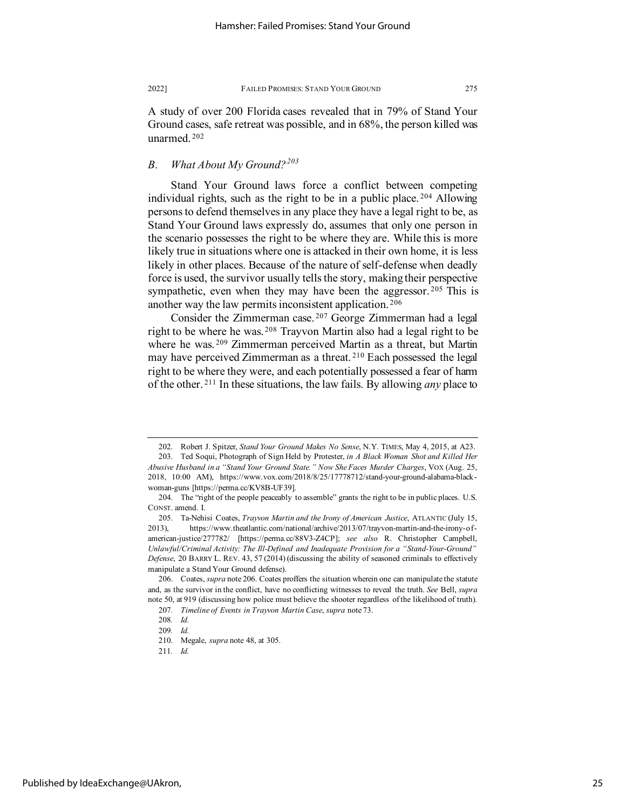A study of over 200 Florida cases revealed that in 79% of Stand Your Ground cases, safe retreat was possible, and in 68%, the person killed was unarmed. [202](#page-25-0)

# *B. What About My Ground?[203](#page-25-1)*

Stand Your Ground laws force a conflict between competing individual rights, such as the right to be in a public place. [204](#page-25-2) Allowing persons to defend themselves in any place they have a legal right to be, as Stand Your Ground laws expressly do, assumes that only one person in the scenario possesses the right to be where they are. While this is more likely true in situations where one is attacked in their own home, it is less likely in other places. Because of the nature of self-defense when deadly force is used, the survivor usually tells the story, making their perspective sympathetic, even when they may have been the aggressor.<sup>[205](#page-25-3)</sup> This is another way the law permits inconsistent application. [206](#page-25-4)

Consider the Zimmerman case. [207](#page-25-5) George Zimmerman had a legal right to be where he was. [208](#page-25-6) Trayvon Martin also had a legal right to be where he was.<sup>[209](#page-25-7)</sup> Zimmerman perceived Martin as a threat, but Martin may have perceived Zimmerman as a threat. [210](#page-25-8) Each possessed the legal right to be where they were, and each potentially possessed a fear of harm of the other. [211](#page-25-9) In these situations, the law fails. By allowing *any* place to

<span id="page-25-1"></span><span id="page-25-0"></span><sup>202.</sup> Robert J. Spitzer, *Stand Your Ground Makes No Sense*, N.Y. TIMES, May 4, 2015, at A23. 203. Ted Soqui, Photograph of Sign Held by Protester, *in A Black Woman Shot and Killed Her Abusive Husband in a "Stand Your Ground State." Now She Faces Murder Charges*, VOX (Aug. 25, 2018, 10:00 AM), https://www.vox.com/2018/8/25/17778712/stand-your-ground-alabama-blackwoman-guns [https://perma.cc/KV8B-UF39].

<span id="page-25-2"></span><sup>204.</sup> The "right of the people peaceably to assemble" grants the right to be in public places. U.S. CONST. amend. I.

<span id="page-25-3"></span><sup>205.</sup> Ta-Nehisi Coates, *Trayvon Martin and the Irony of American Justice*, ATLANTIC (July 15, 2013), https://www.theatlantic.com/national/archive/2013/07/trayvon-martin-and-the-irony-ofamerican-justice/277782/ [https://perma.cc/88V3-Z4CP]; *see also* R. Christopher Campbell, *Unlawful/Criminal Activity: The Ill-Defined and Inadequate Provision for a "Stand-Your-Ground" Defense*, 20 BARRY L. REV. 43, 57 (2014) (discussing the ability of seasoned criminals to effectively manipulate a Stand Your Ground defense).

<span id="page-25-7"></span><span id="page-25-6"></span><span id="page-25-5"></span><span id="page-25-4"></span><sup>206.</sup> Coates, *supra* note 206. Coates proffers the situation wherein one can manipulate the statute and, as the survivor in the conflict, have no conflicting witnesses to reveal the truth. *See* Bell, *supra* not[e 50,](#page-9-13) at 919 (discussing how police must believe the shooter regardless of the likelihood of truth).

<sup>207</sup>*. Timeline of Events in Trayvon Martin Case*, *supra* not[e 73.](#page-11-10)

<sup>208</sup>*. Id.*

<sup>209</sup>*. Id.*

<span id="page-25-9"></span><span id="page-25-8"></span><sup>210.</sup> Megale, *supra* note [48,](#page-8-5) at 305.

<sup>211</sup>*. Id.*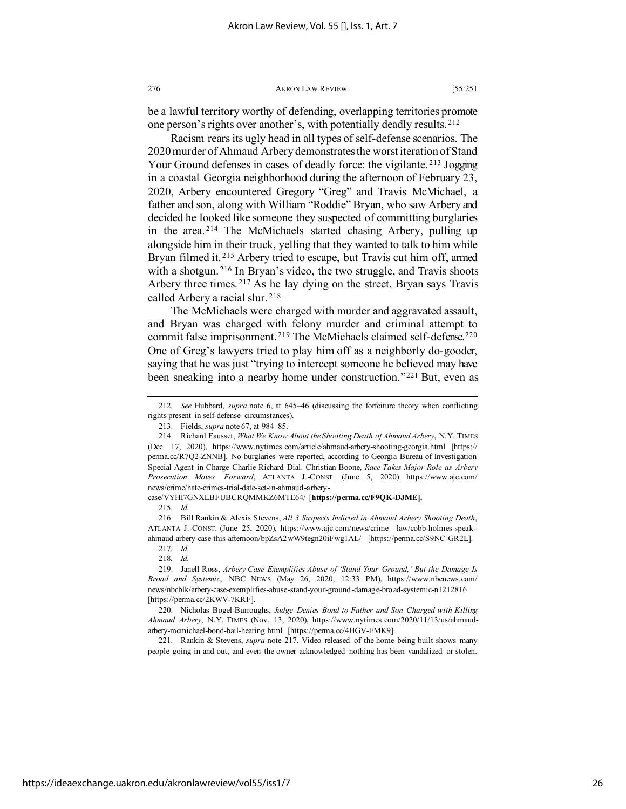be a lawful territory worthy of defending, overlapping territories promote one person's rights over another's, with potentially deadly results. [212](#page-26-0)

Racism rears its ugly head in all types of self-defense scenarios. The 2020 murder of Ahmaud Arbery demonstrates the worst iteration of Stand Your Ground defenses in cases of deadly force: the vigilante. [213](#page-26-1) Jogging in a coastal Georgia neighborhood during the afternoon of February 23, 2020, Arbery encountered Gregory "Greg" and Travis McMichael, a father and son, along with William "Roddie" Bryan, who saw Arbery and decided he looked like someone they suspected of committing burglaries in the area. [214](#page-26-2) The McMichaels started chasing Arbery, pulling up alongside him in their truck, yelling that they wanted to talk to him while Bryan filmed it.<sup>[215](#page-26-3)</sup> Arbery tried to escape, but Travis cut him off, armed with a shotgun.<sup>[216](#page-26-4)</sup> In Bryan's video, the two struggle, and Travis shoots Arbery three times. [217](#page-26-5) As he lay dying on the street, Bryan says Travis called Arbery a racial slur. [218](#page-26-6)

The McMichaels were charged with murder and aggravated assault, and Bryan was charged with felony murder and criminal attempt to commit false imprisonment.<sup>[219](#page-26-7)</sup> The McMichaels claimed self-defense.<sup>[220](#page-26-8)</sup> One of Greg's lawyers tried to play him off as a neighborly do-gooder, saying that he was just "trying to intercept someone he believed may have been sneaking into a nearby home under construction."<sup>[221](#page-26-9)</sup> But, even as

<span id="page-26-9"></span>221. Rankin & Stevens, *supra* note 217. Video released of the home being built shows many people going in and out, and even the owner acknowledged nothing has been vandalized or stolen.

<span id="page-26-0"></span><sup>212</sup>*. See* Hubbard, *supra* note [6,](#page-2-6) at 645–46 (discussing the forfeiture theory when conflicting rights present in self-defense circumstances).

<sup>213.</sup> Fields, *supra* not[e 67,](#page-10-10) at 984–85.

<span id="page-26-2"></span><span id="page-26-1"></span><sup>214.</sup> Richard Fausset, *What We Know About the Shooting Death of Ahmaud Arbery*, N.Y. TIMES (Dec. 17, 2020), https://www.nytimes.com/article/ahmaud-arbery-shooting-georgia.html [https:// perma.cc/R7Q2-ZNNB]. No burglaries were reported, according to Georgia Bureau of Investigation Special Agent in Charge Charlie Richard Dial. Christian Boone, *Race Takes Major Role as Arbery Prosecution Moves Forward*, ATLANTA J.-CONST. (June 5, 2020) https://www.ajc.com/ news/crime/hate-crimes-trial-date-set-in-ahmaud-arbery-

<span id="page-26-3"></span>case/VYHI7GNXLBFUBCRQMMKZ6MTE64/ [**https://perma.cc/F9QK-DJME].**

<sup>215</sup>*. Id.*

<span id="page-26-4"></span><sup>216.</sup> Bill Rankin & Alexis Stevens, *All 3 Suspects Indicted in Ahmaud Arbery Shooting Death*, ATLANTA J.-CONST. (June 25, 2020), https://www.ajc.com/news/crime—law/cobb-holmes-speakahmaud-arbery-case-this-afternoon/bpZsA2wW9tegn20iFwg1AL/ [https://perma.cc/S9NC-GR2L].

<sup>217</sup>*. Id.*

<sup>218</sup>*. Id.*

<span id="page-26-7"></span><span id="page-26-6"></span><span id="page-26-5"></span><sup>219.</sup> Janell Ross, *Arbery Case Exemplifies Abuse of 'Stand Your Ground,' But the Damage Is Broad and Systemic*, NBC NEWS (May 26, 2020, 12:33 PM), https://www.nbcnews.com/ news/nbcblk/arbery-case-exemplifies-abuse-stand-your-ground-damage-broad-systemic-n1212816 [https://perma.cc/2KWV-7KRF].

<span id="page-26-8"></span><sup>220.</sup> Nicholas Bogel-Burroughs, *Judge Denies Bond to Father and Son Charged with Killing Ahmaud Arbery*, N.Y. TIMES (Nov. 13, 2020), https://www.nytimes.com/2020/11/13/us/ahmaudarbery-mcmichael-bond-bail-hearing.html [https://perma.cc/4HGV-EMK9].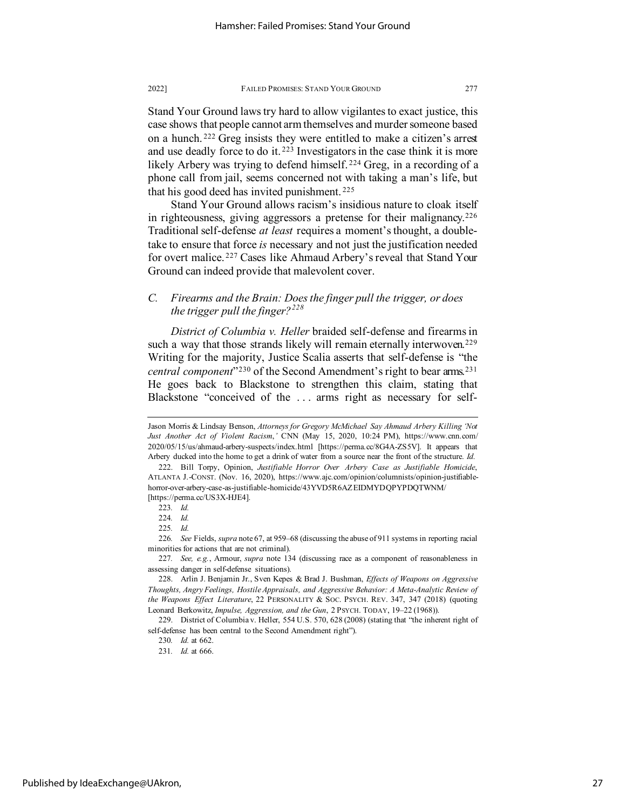Stand Your Ground laws try hard to allow vigilantes to exact justice, this case shows that people cannot arm themselves and murder someone based on a hunch. [222](#page-27-0) Greg insists they were entitled to make a citizen's arrest and use deadly force to do it.<sup>[223](#page-27-1)</sup> Investigators in the case think it is more likely Arbery was trying to defend himself.<sup>[224](#page-27-2)</sup> Greg, in a recording of a phone call from jail, seems concerned not with taking a man's life, but that his good deed has invited punishment. [225](#page-27-3)

Stand Your Ground allows racism's insidious nature to cloak itself in righteousness, giving aggressors a pretense for their malignancy.<sup>[226](#page-27-4)</sup> Traditional self-defense *at least* requires a moment's thought, a doubletake to ensure that force *is* necessary and not just the justification needed for overt malice. [227](#page-27-5) Cases like Ahmaud Arbery's reveal that Stand Your Ground can indeed provide that malevolent cover.

# *C. Firearms and the Brain: Does the finger pull the trigger, or does the trigger pull the finger?[228](#page-27-6)*

*District of Columbia v. Heller* braided self-defense and firearms in such a way that those strands likely will remain eternally interwoven.<sup>[229](#page-27-7)</sup> Writing for the majority, Justice Scalia asserts that self-defense is "the *central component*"[230](#page-27-8) of the Second Amendment's right to bear arms.[231](#page-27-9) He goes back to Blackstone to strengthen this claim, stating that Blackstone "conceived of the . . . arms right as necessary for self-

Jason Morris & Lindsay Benson, *Attorneys for Gregory McMichael Say Ahmaud Arbery Killing 'Not Just Another Act of Violent Racism*,*'* CNN (May 15, 2020, 10:24 PM), https://www.cnn.com/ 2020/05/15/us/ahmaud-arbery-suspects/index.html [https://perma.cc/8G4A-ZS5V]. It appears that Arbery ducked into the home to get a drink of water from a source near the front of the structure. *Id.*

<span id="page-27-0"></span><sup>222.</sup> Bill Torpy, Opinion, *Justifiable Horror Over Arbery Case as Justifiable Homicide*, ATLANTA J.-CONST. (Nov. 16, 2020), https://www.ajc.com/opinion/columnists/opinion-justifiablehorror-over-arbery-case-as-justifiable-homicide/43YVD5R6AZEIDMYDQPYPDQTWNM/ [https://perma.cc/US3X-HJE4].

<sup>223</sup>*. Id.*

<sup>224</sup>*. Id.*

<sup>225</sup>*. Id.*

<span id="page-27-4"></span><span id="page-27-3"></span><span id="page-27-2"></span><span id="page-27-1"></span><sup>226</sup>*. See* Fields, *supra* not[e 67,](#page-10-10) at 959–68 (discussing the abuse of 911 systems in reporting racial minorities for actions that are not criminal).

<span id="page-27-5"></span><sup>227</sup>*. See, e.g.*, Armour, *supra* note [134](#page-17-11) (discussing race as a component of reasonableness in assessing danger in self-defense situations).

<span id="page-27-6"></span><sup>228.</sup> Arlin J. Benjamin Jr., Sven Kepes & Brad J. Bushman, *Effects of Weapons on Aggressive Thoughts, Angry Feelings, Hostile Appraisals, and Aggressive Behavior: A Meta-Analytic Review of the Weapons Effect Literature*, 22 PERSONALITY & SOC. PSYCH. REV. 347, 347 (2018) (quoting Leonard Berkowitz, *Impulse, Aggression, and the Gun*, 2 PSYCH. TODAY, 19–22 (1968)).

<span id="page-27-9"></span><span id="page-27-8"></span><span id="page-27-7"></span><sup>229.</sup> District of Columbia v. Heller, 554 U.S. 570, 628 (2008) (stating that "the inherent right of self-defense has been central to the Second Amendment right").

<sup>230</sup>*. Id.* at 662.

<sup>231</sup>*. Id.* at 666.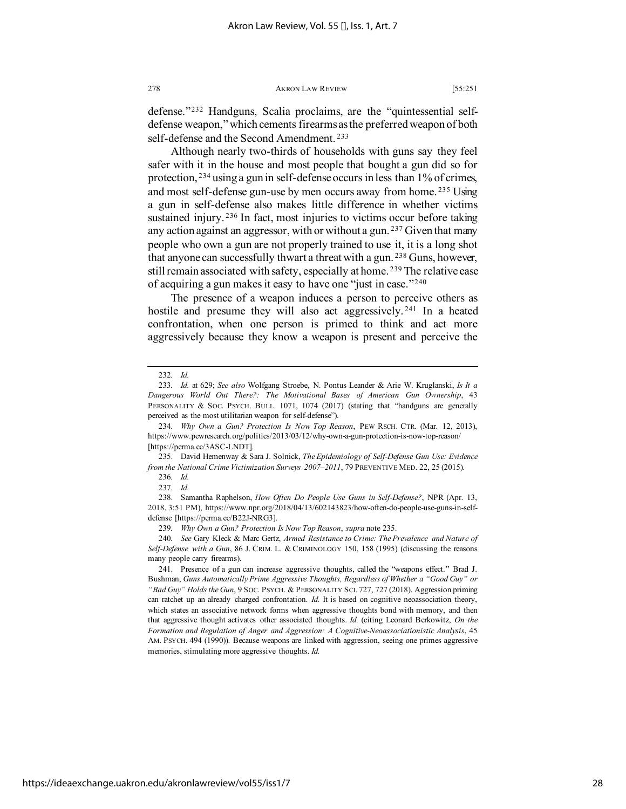defense."[232](#page-28-0) Handguns, Scalia proclaims, are the "quintessential selfdefense weapon," which cements firearms as the preferred weapon of both self-defense and the Second Amendment. [233](#page-28-1)

Although nearly two-thirds of households with guns say they feel safer with it in the house and most people that bought a gun did so for protection, [234](#page-28-2) using a gun in self-defense occurs in less than 1% of crimes, and most self-defense gun-use by men occurs away from home. [235](#page-28-3) Using a gun in self-defense also makes little difference in whether victims sustained injury.<sup>[236](#page-28-4)</sup> In fact, most injuries to victims occur before taking any action against an aggressor, with or without a gun. [237](#page-28-5) Given that many people who own a gun are not properly trained to use it, it is a long shot that anyone can successfully thwart a threat with a gun.<sup>[238](#page-28-6)</sup> Guns, however, still remain associated with safety, especially at home.<sup>[239](#page-28-7)</sup> The relative ease of acquiring a gun makes it easy to have one "just in case."[240](#page-28-8)

The presence of a weapon induces a person to perceive others as hostile and presume they will also act aggressively.<sup>[241](#page-28-9)</sup> In a heated confrontation, when one person is primed to think and act more aggressively because they know a weapon is present and perceive the

<span id="page-28-4"></span><span id="page-28-3"></span>235. David Hemenway & Sara J. Solnick, *The Epidemiology of Self-Defense Gun Use: Evidence from the National Crime Victimization Surveys 2007–2011*, 79 PREVENTIVE MED. 22, 25 (2015).

<span id="page-28-6"></span><span id="page-28-5"></span>238. Samantha Raphelson, *How Often Do People Use Guns in Self-Defense?*, NPR (Apr. 13, 2018, 3:51 PM), https://www.npr.org/2018/04/13/602143823/how-often-do-people-use-guns-in-selfdefense [https://perma.cc/B22J-NRG3].

239*. Why Own a Gun? Protection Is Now Top Reason*, *supra* note 235.

<sup>232</sup>*. Id.*

<span id="page-28-1"></span><span id="page-28-0"></span><sup>233</sup>*. Id.* at 629; *See also* Wolfgang Stroebe, N. Pontus Leander & Arie W. Kruglanski, *Is It a Dangerous World Out There?: The Motivational Bases of American Gun Ownership*, 43 PERSONALITY & SOC. PSYCH. BULL. 1071, 1074 (2017) (stating that "handguns are generally perceived as the most utilitarian weapon for self-defense").

<span id="page-28-2"></span><sup>234</sup>*. Why Own a Gun? Protection Is Now Top Reason*, PEW RSCH. CTR. (Mar. 12, 2013), https://www.pewresearch.org/politics/2013/03/12/why-own-a-gun-protection-is-now-top-reason/ [https://perma.cc/3ASC-LNDT].

<sup>236</sup>*. Id.*

<sup>237</sup>*. Id.*

<span id="page-28-8"></span><span id="page-28-7"></span><sup>240</sup>*. See* Gary Kleck & Marc Gertz, *Armed Resistance to Crime: The Prevalence and Nature of Self-Defense with a Gun*, 86 J. CRIM. L. & CRIMINOLOGY 150, 158 (1995) (discussing the reasons many people carry firearms).

<span id="page-28-9"></span><sup>241.</sup> Presence of a gun can increase aggressive thoughts, called the "weapons effect." Brad J. Bushman, *Guns Automatically Prime Aggressive Thoughts, Regardless of Whether a "Good Guy" or "Bad Guy" Holds the Gun*, 9 SOC. PSYCH. & PERSONALITY SCI. 727, 727 (2018). Aggression priming can ratchet up an already charged confrontation. *Id.* It is based on cognitive neoassociation theory, which states an associative network forms when aggressive thoughts bond with memory, and then that aggressive thought activates other associated thoughts. *Id.* (citing Leonard Berkowitz, *On the Formation and Regulation of Anger and Aggression: A Cognitive-Neoassociationistic Analysis*, 45 AM. PSYCH. 494 (1990)). Because weapons are linked with aggression, seeing one primes aggressive memories, stimulating more aggressive thoughts. *Id.*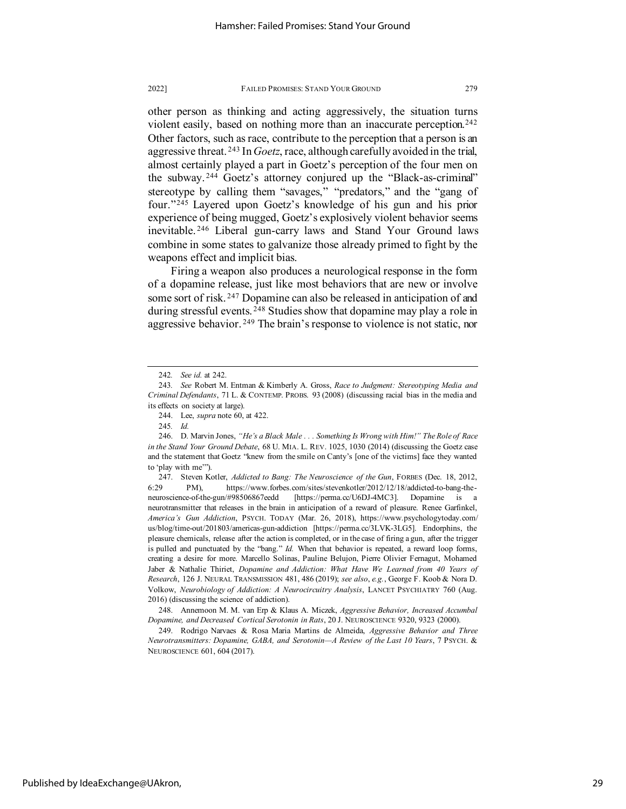other person as thinking and acting aggressively, the situation turns violent easily, based on nothing more than an inaccurate perception.<sup>[242](#page-29-0)</sup> Other factors, such as race, contribute to the perception that a person is an aggressive threat. [243](#page-29-1) In *Goetz*, race, although carefully avoided in the trial, almost certainly played a part in Goetz's perception of the four men on the subway. [244](#page-29-2) Goetz's attorney conjured up the "Black-as-criminal" stereotype by calling them "savages," "predators," and the "gang of four."[245](#page-29-3) Layered upon Goetz's knowledge of his gun and his prior experience of being mugged, Goetz's explosively violent behavior seems inevitable. [246](#page-29-4) Liberal gun-carry laws and Stand Your Ground laws combine in some states to galvanize those already primed to fight by the weapons effect and implicit bias.

Firing a weapon also produces a neurological response in the form of a dopamine release, just like most behaviors that are new or involve some sort of risk. [247](#page-29-5) Dopamine can also be released in anticipation of and during stressful events. <sup>[248](#page-29-6)</sup> Studies show that dopamine may play a role in aggressive behavior. [249](#page-29-7) The brain's response to violence is not static, nor

<sup>242</sup>*. See id.* at 242.

<span id="page-29-1"></span><span id="page-29-0"></span><sup>243</sup>*. See* Robert M. Entman & Kimberly A. Gross, *Race to Judgment: Stereotyping Media and Criminal Defendants*, 71 L. & CONTEMP. PROBS. 93 (2008) (discussing racial bias in the media and its effects on society at large).

<sup>244.</sup> Lee, *supra* note [60,](#page-10-0) at 422.

<sup>245</sup>*. Id.*

<span id="page-29-4"></span><span id="page-29-3"></span><span id="page-29-2"></span><sup>246.</sup> D. Marvin Jones, *"He's a Black Male . . . Something Is Wrong with Him!" The Role of Race in the Stand Your Ground Debate*, 68 U. MIA. L. REV. 1025, 1030 (2014) (discussing the Goetz case and the statement that Goetz "knew from the smile on Canty's [one of the victims] face they wanted to 'play with me'").

<span id="page-29-5"></span><sup>247.</sup> Steven Kotler, *Addicted to Bang: The Neuroscience of the Gun*, FORBES (Dec. 18, 2012, 6:29 PM), https://www.forbes.com/sites/stevenkotler/2012/12/18/addicted-to-bang-theneuroscience-of-the-gun/#98506867eedd [https://perma.cc/U6DJ-4MC3]. Dopamine is a neurotransmitter that releases in the brain in anticipation of a reward of pleasure. Renee Garfinkel, *America's Gun Addiction*, PSYCH. TODAY (Mar. 26, 2018), https://www.psychologytoday.com/ us/blog/time-out/201803/americas-gun-addiction [https://perma.cc/3LVK-3LG5]. Endorphins, the pleasure chemicals, release after the action is completed, or in the case of firing a gun, after the trigger is pulled and punctuated by the "bang." *Id.* When that behavior is repeated, a reward loop forms, creating a desire for more. Marcello Solinas, Pauline Belujon, Pierre Olivier Fernagut, Mohamed Jaber & Nathalie Thiriet, *Dopamine and Addiction: What Have We Learned from 40 Years of Research*, 126 J. NEURAL TRANSMISSION 481, 486 (2019); *see also*, *e.g.*, George F. Koob & Nora D. Volkow, *Neurobiology of Addiction: A Neurocircuitry Analysis*, LANCET PSYCHIATRY 760 (Aug. 2016) (discussing the science of addiction).

<span id="page-29-6"></span><sup>248.</sup> Annemoon M. M. van Erp & Klaus A. Miczek, *Aggressive Behavior, Increased Accumbal Dopamine, and Decreased Cortical Serotonin in Rats*, 20 J. NEUROSCIENCE 9320, 9323 (2000).

<span id="page-29-7"></span><sup>249.</sup> Rodrigo Narvaes & Rosa Maria Martins de Almeida, *Aggressive Behavior and Three Neurotransmitters: Dopamine, GABA, and Serotonin—A Review of the Last 10 Years*, 7 PSYCH. & NEUROSCIENCE 601, 604 (2017).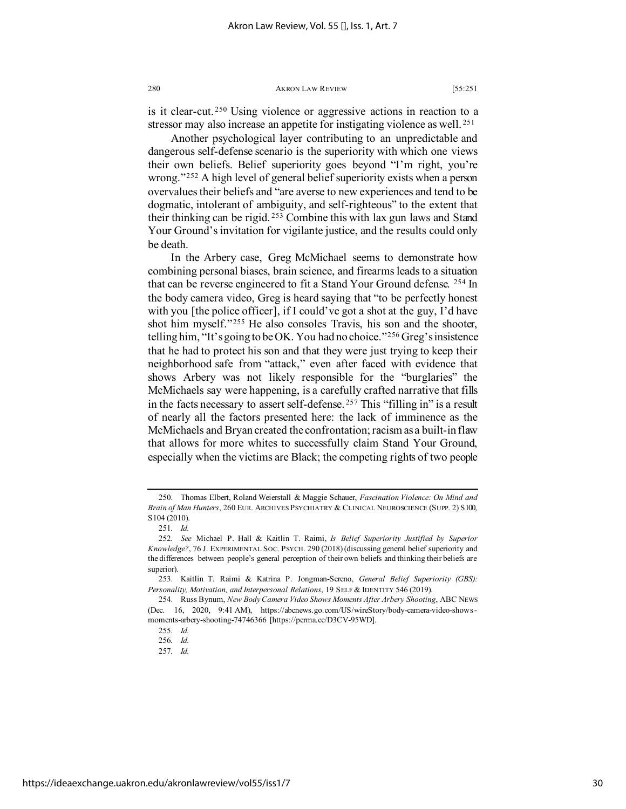Another psychological layer contributing to an unpredictable and dangerous self-defense scenario is the superiority with which one views their own beliefs. Belief superiority goes beyond "I'm right, you're wrong."<sup>[252](#page-30-2)</sup> A high level of general belief superiority exists when a person overvalues their beliefs and "are averse to new experiences and tend to be dogmatic, intolerant of ambiguity, and self-righteous" to the extent that their thinking can be rigid. [253](#page-30-3) Combine this with lax gun laws and Stand Your Ground's invitation for vigilante justice, and the results could only be death.

In the Arbery case, Greg McMichael seems to demonstrate how combining personal biases, brain science, and firearms leads to a situation that can be reverse engineered to fit a Stand Your Ground defense. [254](#page-30-4) In the body camera video, Greg is heard saying that "to be perfectly honest with you [the police officer], if I could've got a shot at the guy, I'd have shot him myself."[255](#page-30-5) He also consoles Travis, his son and the shooter, telling him, "It's going to be OK. You had no choice."[256](#page-30-6) Greg's insistence that he had to protect his son and that they were just trying to keep their neighborhood safe from "attack," even after faced with evidence that shows Arbery was not likely responsible for the "burglaries" the McMichaels say were happening, is a carefully crafted narrative that fills in the facts necessary to assert self-defense. [257](#page-30-7) This "filling in" is a result of nearly all the factors presented here: the lack of imminence as the McMichaels and Bryan created the confrontation; racism as a built-in flaw that allows for more whites to successfully claim Stand Your Ground, especially when the victims are Black; the competing rights of two people

<span id="page-30-0"></span><sup>250.</sup> Thomas Elbert, Roland Weierstall & Maggie Schauer, *Fascination Violence: On Mind and Brain of Man Hunters*, 260 EUR. ARCHIVES PSYCHIATRY & CLINICAL NEUROSCIENCE (SUPP. 2) S100, S104 (2010).

<sup>251</sup>*. Id.*

<span id="page-30-2"></span><span id="page-30-1"></span><sup>252</sup>*. See* Michael P. Hall & Kaitlin T. Raimi, *Is Belief Superiority Justified by Superior Knowledge?*, 76 J. EXPERIMENTAL SOC. PSYCH. 290 (2018) (discussing general belief superiority and the differences between people's general perception of their own beliefs and thinking their beliefs are superior).<br>253.

<span id="page-30-3"></span><sup>253.</sup> Kaitlin T. Raimi & Katrina P. Jongman-Sereno, *General Belief Superiority (GBS): Personality, Motivation, and Interpersonal Relations*, 19 SELF & IDENTITY 546 (2019).

<span id="page-30-7"></span><span id="page-30-6"></span><span id="page-30-5"></span><span id="page-30-4"></span><sup>254.</sup> Russ Bynum, *New Body Camera Video Shows Moments After Arbery Shooting*, ABC NEWS (Dec. 16, 2020, 9:41 AM), https://abcnews.go.com/US/wireStory/body-camera-video-showsmoments-arbery-shooting-74746366 [https://perma.cc/D3CV-95WD].

<sup>255</sup>*. Id.*

<sup>256</sup>*. Id.*

<sup>257</sup>*. Id.*